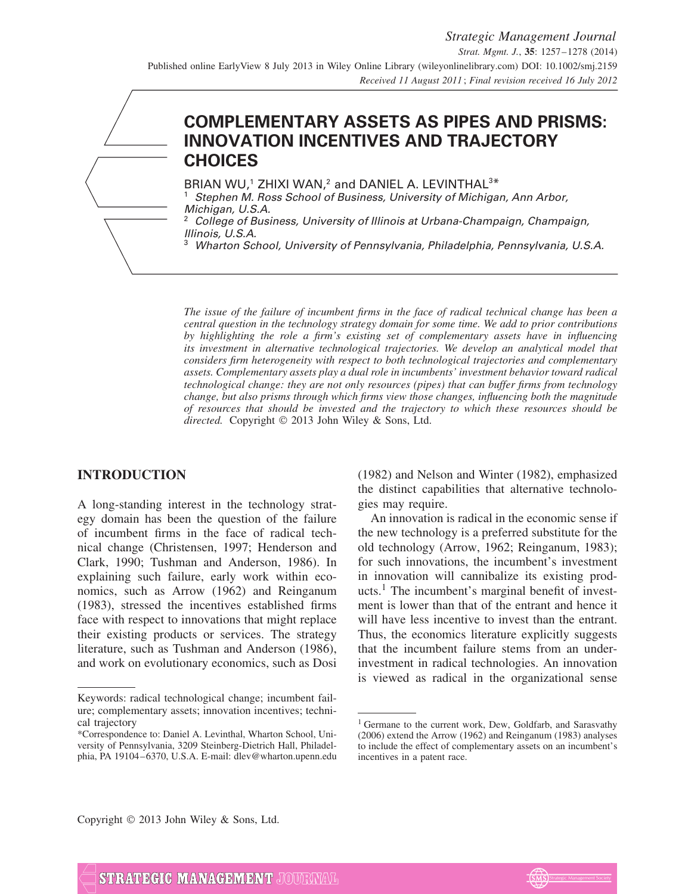# **COMPLEMENTARY ASSETS AS PIPES AND PRISMS: INNOVATION INCENTIVES AND TRAJECTORY CHOICES**

BRIAN WU,<sup>1</sup> ZHIXI WAN,<sup>2</sup> and DANIEL A. LEVINTHAL<sup>3\*</sup>

Stephen M. Ross School of Business, University of Michigan, Ann Arbor, Michigan, U.S.A.

<sup>2</sup> College of Business, University of Illinois at Urbana-Champaign, Champaign, Illinois, U.S.A.

<sup>3</sup> Wharton School, University of Pennsylvania, Philadelphia, Pennsylvania, U.S.A.

*The issue of the failure of incumbent firms in the face of radical technical change has been a central question in the technology strategy domain for some time. We add to prior contributions by highlighting the role a firm's existing set of complementary assets have in influencing its investment in alternative technological trajectories. We develop an analytical model that considers firm heterogeneity with respect to both technological trajectories and complementary assets. Complementary assets play a dual role in incumbents' investment behavior toward radical technological change: they are not only resources (pipes) that can buffer firms from technology change, but also prisms through which firms view those changes, influencing both the magnitude of resources that should be invested and the trajectory to which these resources should be directed.* Copyright © 2013 John Wiley & Sons, Ltd.

# **INTRODUCTION**

A long-standing interest in the technology strategy domain has been the question of the failure of incumbent firms in the face of radical technical change (Christensen, 1997; Henderson and Clark, 1990; Tushman and Anderson, 1986). In explaining such failure, early work within economics, such as Arrow (1962) and Reinganum (1983), stressed the incentives established firms face with respect to innovations that might replace their existing products or services. The strategy literature, such as Tushman and Anderson (1986), and work on evolutionary economics, such as Dosi (1982) and Nelson and Winter (1982), emphasized the distinct capabilities that alternative technologies may require.

An innovation is radical in the economic sense if the new technology is a preferred substitute for the old technology (Arrow, 1962; Reinganum, 1983); for such innovations, the incumbent's investment in innovation will cannibalize its existing products.<sup>1</sup> The incumbent's marginal benefit of investment is lower than that of the entrant and hence it will have less incentive to invest than the entrant. Thus, the economics literature explicitly suggests that the incumbent failure stems from an underinvestment in radical technologies. An innovation is viewed as radical in the organizational sense

Copyright © 2013 John Wiley & Sons, Ltd.



Keywords: radical technological change; incumbent failure; complementary assets; innovation incentives; technical trajectory

<sup>\*</sup>Correspondence to: Daniel A. Levinthal, Wharton School, University of Pennsylvania, 3209 Steinberg-Dietrich Hall, Philadelphia, PA 19104–6370, U.S.A. E-mail: dlev@wharton.upenn.edu

<sup>&</sup>lt;sup>1</sup> Germane to the current work, Dew, Goldfarb, and Sarasvathy (2006) extend the Arrow (1962) and Reinganum (1983) analyses to include the effect of complementary assets on an incumbent's incentives in a patent race.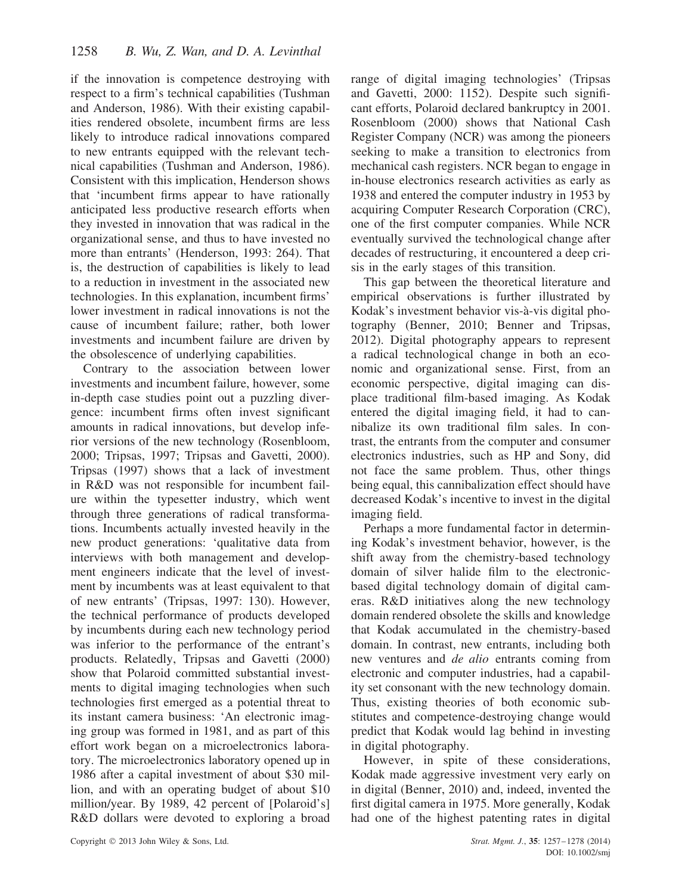if the innovation is competence destroying with respect to a firm's technical capabilities (Tushman and Anderson, 1986). With their existing capabilities rendered obsolete, incumbent firms are less likely to introduce radical innovations compared to new entrants equipped with the relevant technical capabilities (Tushman and Anderson, 1986). Consistent with this implication, Henderson shows that 'incumbent firms appear to have rationally anticipated less productive research efforts when they invested in innovation that was radical in the organizational sense, and thus to have invested no more than entrants' (Henderson, 1993: 264). That is, the destruction of capabilities is likely to lead to a reduction in investment in the associated new technologies. In this explanation, incumbent firms' lower investment in radical innovations is not the cause of incumbent failure; rather, both lower investments and incumbent failure are driven by the obsolescence of underlying capabilities.

Contrary to the association between lower investments and incumbent failure, however, some in-depth case studies point out a puzzling divergence: incumbent firms often invest significant amounts in radical innovations, but develop inferior versions of the new technology (Rosenbloom, 2000; Tripsas, 1997; Tripsas and Gavetti, 2000). Tripsas (1997) shows that a lack of investment in R&D was not responsible for incumbent failure within the typesetter industry, which went through three generations of radical transformations. Incumbents actually invested heavily in the new product generations: 'qualitative data from interviews with both management and development engineers indicate that the level of investment by incumbents was at least equivalent to that of new entrants' (Tripsas, 1997: 130). However, the technical performance of products developed by incumbents during each new technology period was inferior to the performance of the entrant's products. Relatedly, Tripsas and Gavetti (2000) show that Polaroid committed substantial investments to digital imaging technologies when such technologies first emerged as a potential threat to its instant camera business: 'An electronic imaging group was formed in 1981, and as part of this effort work began on a microelectronics laboratory. The microelectronics laboratory opened up in 1986 after a capital investment of about \$30 million, and with an operating budget of about \$10 million/year. By 1989, 42 percent of [Polaroid's] R&D dollars were devoted to exploring a broad

range of digital imaging technologies' (Tripsas and Gavetti, 2000: 1152). Despite such significant efforts, Polaroid declared bankruptcy in 2001. Rosenbloom (2000) shows that National Cash Register Company (NCR) was among the pioneers seeking to make a transition to electronics from mechanical cash registers. NCR began to engage in in-house electronics research activities as early as 1938 and entered the computer industry in 1953 by acquiring Computer Research Corporation (CRC), one of the first computer companies. While NCR eventually survived the technological change after decades of restructuring, it encountered a deep crisis in the early stages of this transition.

This gap between the theoretical literature and empirical observations is further illustrated by Kodak's investment behavior vis-à-vis digital photography (Benner, 2010; Benner and Tripsas, 2012). Digital photography appears to represent a radical technological change in both an economic and organizational sense. First, from an economic perspective, digital imaging can displace traditional film-based imaging. As Kodak entered the digital imaging field, it had to cannibalize its own traditional film sales. In contrast, the entrants from the computer and consumer electronics industries, such as HP and Sony, did not face the same problem. Thus, other things being equal, this cannibalization effect should have decreased Kodak's incentive to invest in the digital imaging field.

Perhaps a more fundamental factor in determining Kodak's investment behavior, however, is the shift away from the chemistry-based technology domain of silver halide film to the electronicbased digital technology domain of digital cameras. R&D initiatives along the new technology domain rendered obsolete the skills and knowledge that Kodak accumulated in the chemistry-based domain. In contrast, new entrants, including both new ventures and *de alio* entrants coming from electronic and computer industries, had a capability set consonant with the new technology domain. Thus, existing theories of both economic substitutes and competence-destroying change would predict that Kodak would lag behind in investing in digital photography.

However, in spite of these considerations, Kodak made aggressive investment very early on in digital (Benner, 2010) and, indeed, invented the first digital camera in 1975. More generally, Kodak had one of the highest patenting rates in digital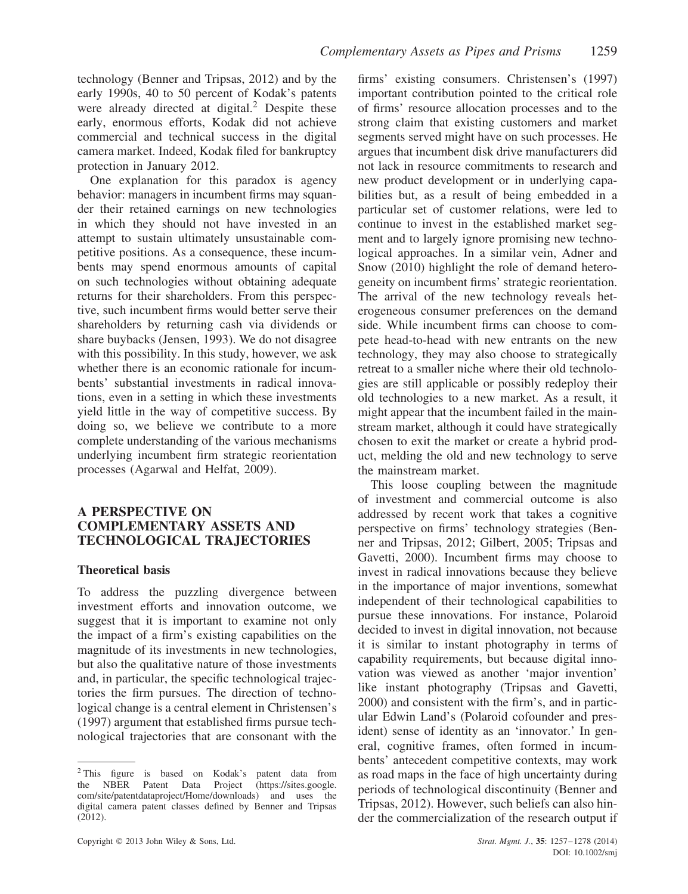technology (Benner and Tripsas, 2012) and by the early 1990s, 40 to 50 percent of Kodak's patents were already directed at digital.<sup>2</sup> Despite these early, enormous efforts, Kodak did not achieve commercial and technical success in the digital camera market. Indeed, Kodak filed for bankruptcy protection in January 2012.

One explanation for this paradox is agency behavior: managers in incumbent firms may squander their retained earnings on new technologies in which they should not have invested in an attempt to sustain ultimately unsustainable competitive positions. As a consequence, these incumbents may spend enormous amounts of capital on such technologies without obtaining adequate returns for their shareholders. From this perspective, such incumbent firms would better serve their shareholders by returning cash via dividends or share buybacks (Jensen, 1993). We do not disagree with this possibility. In this study, however, we ask whether there is an economic rationale for incumbents' substantial investments in radical innovations, even in a setting in which these investments yield little in the way of competitive success. By doing so, we believe we contribute to a more complete understanding of the various mechanisms underlying incumbent firm strategic reorientation processes (Agarwal and Helfat, 2009).

# **A PERSPECTIVE ON COMPLEMENTARY ASSETS AND TECHNOLOGICAL TRAJECTORIES**

# **Theoretical basis**

To address the puzzling divergence between investment efforts and innovation outcome, we suggest that it is important to examine not only the impact of a firm's existing capabilities on the magnitude of its investments in new technologies, but also the qualitative nature of those investments and, in particular, the specific technological trajectories the firm pursues. The direction of technological change is a central element in Christensen's (1997) argument that established firms pursue technological trajectories that are consonant with the

firms' existing consumers. Christensen's (1997) important contribution pointed to the critical role of firms' resource allocation processes and to the strong claim that existing customers and market segments served might have on such processes. He argues that incumbent disk drive manufacturers did not lack in resource commitments to research and new product development or in underlying capabilities but, as a result of being embedded in a particular set of customer relations, were led to continue to invest in the established market segment and to largely ignore promising new technological approaches. In a similar vein, Adner and Snow (2010) highlight the role of demand heterogeneity on incumbent firms' strategic reorientation. The arrival of the new technology reveals heterogeneous consumer preferences on the demand side. While incumbent firms can choose to compete head-to-head with new entrants on the new technology, they may also choose to strategically retreat to a smaller niche where their old technologies are still applicable or possibly redeploy their old technologies to a new market. As a result, it might appear that the incumbent failed in the mainstream market, although it could have strategically chosen to exit the market or create a hybrid product, melding the old and new technology to serve the mainstream market.

This loose coupling between the magnitude of investment and commercial outcome is also addressed by recent work that takes a cognitive perspective on firms' technology strategies (Benner and Tripsas, 2012; Gilbert, 2005; Tripsas and Gavetti, 2000). Incumbent firms may choose to invest in radical innovations because they believe in the importance of major inventions, somewhat independent of their technological capabilities to pursue these innovations. For instance, Polaroid decided to invest in digital innovation, not because it is similar to instant photography in terms of capability requirements, but because digital innovation was viewed as another 'major invention' like instant photography (Tripsas and Gavetti, 2000) and consistent with the firm's, and in particular Edwin Land's (Polaroid cofounder and president) sense of identity as an 'innovator.' In general, cognitive frames, often formed in incumbents' antecedent competitive contexts, may work as road maps in the face of high uncertainty during periods of technological discontinuity (Benner and Tripsas, 2012). However, such beliefs can also hinder the commercialization of the research output if

<sup>2</sup> This figure is based on Kodak's patent data from the NBER Patent Data Project (https://sites.google. com/site/patentdataproject/Home/downloads) and uses the digital camera patent classes defined by Benner and Tripsas  $(2012)$ .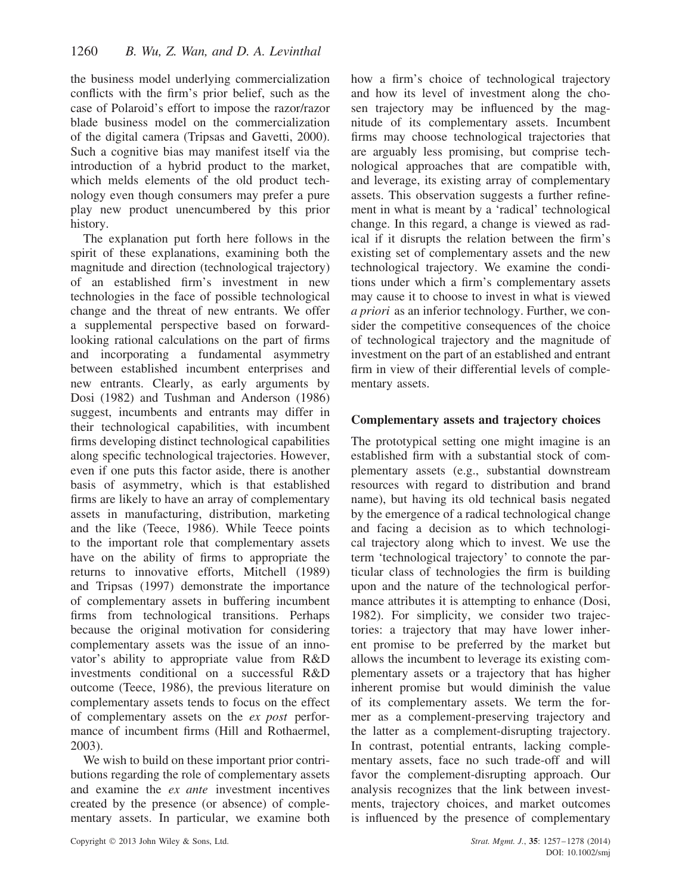the business model underlying commercialization conflicts with the firm's prior belief, such as the case of Polaroid's effort to impose the razor/razor blade business model on the commercialization of the digital camera (Tripsas and Gavetti, 2000). Such a cognitive bias may manifest itself via the introduction of a hybrid product to the market, which melds elements of the old product technology even though consumers may prefer a pure play new product unencumbered by this prior history.

The explanation put forth here follows in the spirit of these explanations, examining both the magnitude and direction (technological trajectory) of an established firm's investment in new technologies in the face of possible technological change and the threat of new entrants. We offer a supplemental perspective based on forwardlooking rational calculations on the part of firms and incorporating a fundamental asymmetry between established incumbent enterprises and new entrants. Clearly, as early arguments by Dosi (1982) and Tushman and Anderson (1986) suggest, incumbents and entrants may differ in their technological capabilities, with incumbent firms developing distinct technological capabilities along specific technological trajectories. However, even if one puts this factor aside, there is another basis of asymmetry, which is that established firms are likely to have an array of complementary assets in manufacturing, distribution, marketing and the like (Teece, 1986). While Teece points to the important role that complementary assets have on the ability of firms to appropriate the returns to innovative efforts, Mitchell (1989) and Tripsas (1997) demonstrate the importance of complementary assets in buffering incumbent firms from technological transitions. Perhaps because the original motivation for considering complementary assets was the issue of an innovator's ability to appropriate value from R&D investments conditional on a successful R&D outcome (Teece, 1986), the previous literature on complementary assets tends to focus on the effect of complementary assets on the *ex post* performance of incumbent firms (Hill and Rothaermel, 2003).

We wish to build on these important prior contributions regarding the role of complementary assets and examine the *ex ante* investment incentives created by the presence (or absence) of complementary assets. In particular, we examine both

how a firm's choice of technological trajectory and how its level of investment along the chosen trajectory may be influenced by the magnitude of its complementary assets. Incumbent firms may choose technological trajectories that are arguably less promising, but comprise technological approaches that are compatible with, and leverage, its existing array of complementary assets. This observation suggests a further refinement in what is meant by a 'radical' technological change. In this regard, a change is viewed as radical if it disrupts the relation between the firm's existing set of complementary assets and the new technological trajectory. We examine the conditions under which a firm's complementary assets may cause it to choose to invest in what is viewed *a priori* as an inferior technology. Further, we consider the competitive consequences of the choice of technological trajectory and the magnitude of investment on the part of an established and entrant firm in view of their differential levels of complementary assets.

# **Complementary assets and trajectory choices**

The prototypical setting one might imagine is an established firm with a substantial stock of complementary assets (e.g., substantial downstream resources with regard to distribution and brand name), but having its old technical basis negated by the emergence of a radical technological change and facing a decision as to which technological trajectory along which to invest. We use the term 'technological trajectory' to connote the particular class of technologies the firm is building upon and the nature of the technological performance attributes it is attempting to enhance (Dosi, 1982). For simplicity, we consider two trajectories: a trajectory that may have lower inherent promise to be preferred by the market but allows the incumbent to leverage its existing complementary assets or a trajectory that has higher inherent promise but would diminish the value of its complementary assets. We term the former as a complement-preserving trajectory and the latter as a complement-disrupting trajectory. In contrast, potential entrants, lacking complementary assets, face no such trade-off and will favor the complement-disrupting approach. Our analysis recognizes that the link between investments, trajectory choices, and market outcomes is influenced by the presence of complementary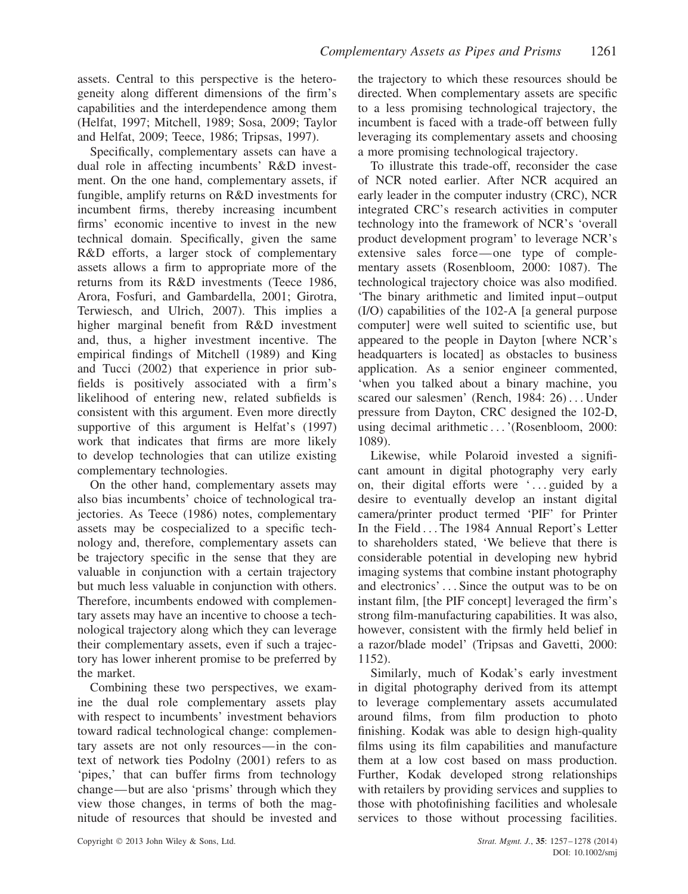assets. Central to this perspective is the heterogeneity along different dimensions of the firm's capabilities and the interdependence among them (Helfat, 1997; Mitchell, 1989; Sosa, 2009; Taylor and Helfat, 2009; Teece, 1986; Tripsas, 1997).

Specifically, complementary assets can have a dual role in affecting incumbents' R&D investment. On the one hand, complementary assets, if fungible, amplify returns on R&D investments for incumbent firms, thereby increasing incumbent firms' economic incentive to invest in the new technical domain. Specifically, given the same R&D efforts, a larger stock of complementary assets allows a firm to appropriate more of the returns from its R&D investments (Teece 1986, Arora, Fosfuri, and Gambardella, 2001; Girotra, Terwiesch, and Ulrich, 2007). This implies a higher marginal benefit from R&D investment and, thus, a higher investment incentive. The empirical findings of Mitchell (1989) and King and Tucci (2002) that experience in prior subfields is positively associated with a firm's likelihood of entering new, related subfields is consistent with this argument. Even more directly supportive of this argument is Helfat's (1997) work that indicates that firms are more likely to develop technologies that can utilize existing complementary technologies.

On the other hand, complementary assets may also bias incumbents' choice of technological trajectories. As Teece (1986) notes, complementary assets may be cospecialized to a specific technology and, therefore, complementary assets can be trajectory specific in the sense that they are valuable in conjunction with a certain trajectory but much less valuable in conjunction with others. Therefore, incumbents endowed with complementary assets may have an incentive to choose a technological trajectory along which they can leverage their complementary assets, even if such a trajectory has lower inherent promise to be preferred by the market.

Combining these two perspectives, we examine the dual role complementary assets play with respect to incumbents' investment behaviors toward radical technological change: complementary assets are not only resources—in the context of network ties Podolny (2001) refers to as 'pipes,' that can buffer firms from technology change—but are also 'prisms' through which they view those changes, in terms of both the magnitude of resources that should be invested and

the trajectory to which these resources should be directed. When complementary assets are specific to a less promising technological trajectory, the incumbent is faced with a trade-off between fully leveraging its complementary assets and choosing a more promising technological trajectory.

To illustrate this trade-off, reconsider the case of NCR noted earlier. After NCR acquired an early leader in the computer industry (CRC), NCR integrated CRC's research activities in computer technology into the framework of NCR's 'overall product development program' to leverage NCR's extensive sales force—one type of complementary assets (Rosenbloom, 2000: 1087). The technological trajectory choice was also modified. 'The binary arithmetic and limited input–output (I/O) capabilities of the 102-A [a general purpose computer] were well suited to scientific use, but appeared to the people in Dayton [where NCR's headquarters is located] as obstacles to business application. As a senior engineer commented, 'when you talked about a binary machine, you scared our salesmen' (Rench, 1984: 26) *...* Under pressure from Dayton, CRC designed the 102-D, using decimal arithmetic *...*'(Rosenbloom, 2000: 1089).

Likewise, while Polaroid invested a significant amount in digital photography very early on, their digital efforts were ' *...* guided by a desire to eventually develop an instant digital camera/printer product termed 'PIF' for Printer In the Field *...* The 1984 Annual Report's Letter to shareholders stated, 'We believe that there is considerable potential in developing new hybrid imaging systems that combine instant photography and electronics' *...* Since the output was to be on instant film, [the PIF concept] leveraged the firm's strong film-manufacturing capabilities. It was also, however, consistent with the firmly held belief in a razor/blade model' (Tripsas and Gavetti, 2000: 1152).

Similarly, much of Kodak's early investment in digital photography derived from its attempt to leverage complementary assets accumulated around films, from film production to photo finishing. Kodak was able to design high-quality films using its film capabilities and manufacture them at a low cost based on mass production. Further, Kodak developed strong relationships with retailers by providing services and supplies to those with photofinishing facilities and wholesale services to those without processing facilities.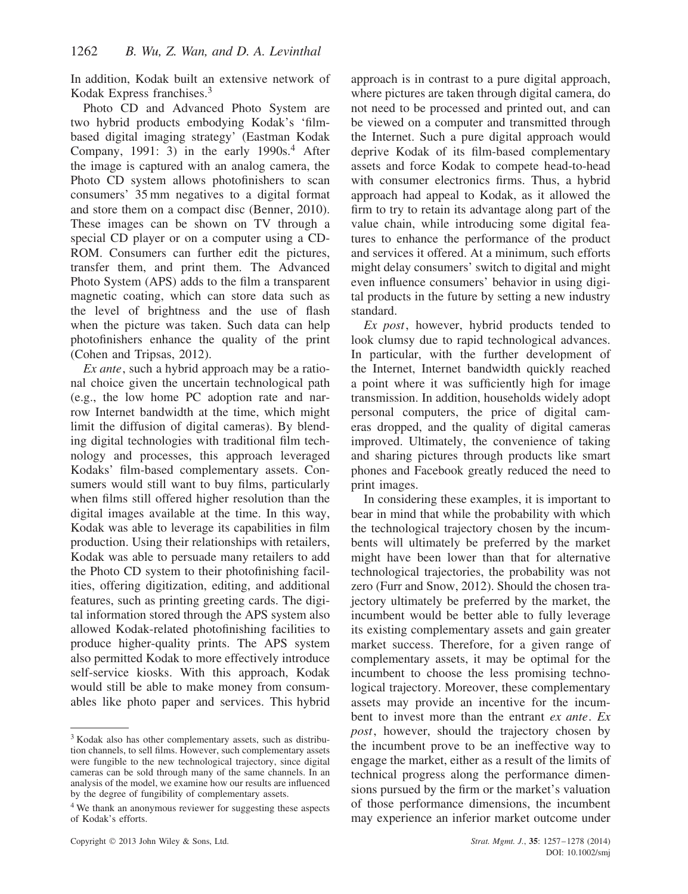In addition, Kodak built an extensive network of Kodak Express franchises.<sup>3</sup>

Photo CD and Advanced Photo System are two hybrid products embodying Kodak's 'filmbased digital imaging strategy' (Eastman Kodak Company, 1991: 3) in the early  $1990s<sup>4</sup>$  After the image is captured with an analog camera, the Photo CD system allows photofinishers to scan consumers' 35 mm negatives to a digital format and store them on a compact disc (Benner, 2010). These images can be shown on TV through a special CD player or on a computer using a CD-ROM. Consumers can further edit the pictures, transfer them, and print them. The Advanced Photo System (APS) adds to the film a transparent magnetic coating, which can store data such as the level of brightness and the use of flash when the picture was taken. Such data can help photofinishers enhance the quality of the print (Cohen and Tripsas, 2012).

*Ex ante*, such a hybrid approach may be a rational choice given the uncertain technological path (e.g., the low home PC adoption rate and narrow Internet bandwidth at the time, which might limit the diffusion of digital cameras). By blending digital technologies with traditional film technology and processes, this approach leveraged Kodaks' film-based complementary assets. Consumers would still want to buy films, particularly when films still offered higher resolution than the digital images available at the time. In this way, Kodak was able to leverage its capabilities in film production. Using their relationships with retailers, Kodak was able to persuade many retailers to add the Photo CD system to their photofinishing facilities, offering digitization, editing, and additional features, such as printing greeting cards. The digital information stored through the APS system also allowed Kodak-related photofinishing facilities to produce higher-quality prints. The APS system also permitted Kodak to more effectively introduce self-service kiosks. With this approach, Kodak would still be able to make money from consumables like photo paper and services. This hybrid approach is in contrast to a pure digital approach, where pictures are taken through digital camera, do not need to be processed and printed out, and can be viewed on a computer and transmitted through the Internet. Such a pure digital approach would deprive Kodak of its film-based complementary assets and force Kodak to compete head-to-head with consumer electronics firms. Thus, a hybrid approach had appeal to Kodak, as it allowed the firm to try to retain its advantage along part of the value chain, while introducing some digital features to enhance the performance of the product and services it offered. At a minimum, such efforts might delay consumers' switch to digital and might even influence consumers' behavior in using digital products in the future by setting a new industry standard.

*Ex post*, however, hybrid products tended to look clumsy due to rapid technological advances. In particular, with the further development of the Internet, Internet bandwidth quickly reached a point where it was sufficiently high for image transmission. In addition, households widely adopt personal computers, the price of digital cameras dropped, and the quality of digital cameras improved. Ultimately, the convenience of taking and sharing pictures through products like smart phones and Facebook greatly reduced the need to print images.

In considering these examples, it is important to bear in mind that while the probability with which the technological trajectory chosen by the incumbents will ultimately be preferred by the market might have been lower than that for alternative technological trajectories, the probability was not zero (Furr and Snow, 2012). Should the chosen trajectory ultimately be preferred by the market, the incumbent would be better able to fully leverage its existing complementary assets and gain greater market success. Therefore, for a given range of complementary assets, it may be optimal for the incumbent to choose the less promising technological trajectory. Moreover, these complementary assets may provide an incentive for the incumbent to invest more than the entrant *ex ante*. *Ex post*, however, should the trajectory chosen by the incumbent prove to be an ineffective way to engage the market, either as a result of the limits of technical progress along the performance dimensions pursued by the firm or the market's valuation of those performance dimensions, the incumbent may experience an inferior market outcome under

<sup>3</sup> Kodak also has other complementary assets, such as distribution channels, to sell films. However, such complementary assets were fungible to the new technological trajectory, since digital cameras can be sold through many of the same channels. In an analysis of the model, we examine how our results are influenced by the degree of fungibility of complementary assets.

<sup>4</sup> We thank an anonymous reviewer for suggesting these aspects of Kodak's efforts.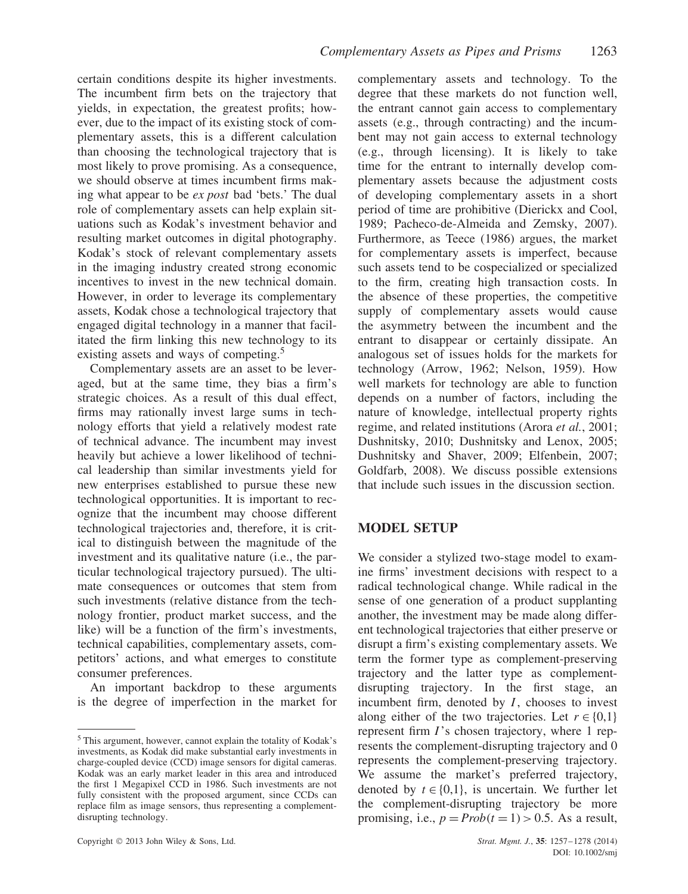certain conditions despite its higher investments. The incumbent firm bets on the trajectory that yields, in expectation, the greatest profits; however, due to the impact of its existing stock of complementary assets, this is a different calculation than choosing the technological trajectory that is most likely to prove promising. As a consequence, we should observe at times incumbent firms making what appear to be *ex post* bad 'bets.' The dual role of complementary assets can help explain situations such as Kodak's investment behavior and resulting market outcomes in digital photography. Kodak's stock of relevant complementary assets in the imaging industry created strong economic incentives to invest in the new technical domain. However, in order to leverage its complementary assets, Kodak chose a technological trajectory that engaged digital technology in a manner that facilitated the firm linking this new technology to its existing assets and ways of competing.<sup>5</sup>

Complementary assets are an asset to be leveraged, but at the same time, they bias a firm's strategic choices. As a result of this dual effect, firms may rationally invest large sums in technology efforts that yield a relatively modest rate of technical advance. The incumbent may invest heavily but achieve a lower likelihood of technical leadership than similar investments yield for new enterprises established to pursue these new technological opportunities. It is important to recognize that the incumbent may choose different technological trajectories and, therefore, it is critical to distinguish between the magnitude of the investment and its qualitative nature (i.e., the particular technological trajectory pursued). The ultimate consequences or outcomes that stem from such investments (relative distance from the technology frontier, product market success, and the like) will be a function of the firm's investments, technical capabilities, complementary assets, competitors' actions, and what emerges to constitute consumer preferences.

An important backdrop to these arguments is the degree of imperfection in the market for complementary assets and technology. To the degree that these markets do not function well, the entrant cannot gain access to complementary assets (e.g., through contracting) and the incumbent may not gain access to external technology (e.g., through licensing). It is likely to take time for the entrant to internally develop complementary assets because the adjustment costs of developing complementary assets in a short period of time are prohibitive (Dierickx and Cool, 1989; Pacheco-de-Almeida and Zemsky, 2007). Furthermore, as Teece (1986) argues, the market for complementary assets is imperfect, because such assets tend to be cospecialized or specialized to the firm, creating high transaction costs. In the absence of these properties, the competitive supply of complementary assets would cause the asymmetry between the incumbent and the entrant to disappear or certainly dissipate. An analogous set of issues holds for the markets for technology (Arrow, 1962; Nelson, 1959). How well markets for technology are able to function depends on a number of factors, including the nature of knowledge, intellectual property rights regime, and related institutions (Arora *et al.*, 2001; Dushnitsky, 2010; Dushnitsky and Lenox, 2005; Dushnitsky and Shaver, 2009; Elfenbein, 2007; Goldfarb, 2008). We discuss possible extensions that include such issues in the discussion section.

# **MODEL SETUP**

We consider a stylized two-stage model to examine firms' investment decisions with respect to a radical technological change. While radical in the sense of one generation of a product supplanting another, the investment may be made along different technological trajectories that either preserve or disrupt a firm's existing complementary assets. We term the former type as complement-preserving trajectory and the latter type as complementdisrupting trajectory. In the first stage, an incumbent firm, denoted by *I*, chooses to invest along either of the two trajectories. Let  $r \in \{0,1\}$ represent firm *I*'s chosen trajectory, where 1 represents the complement-disrupting trajectory and 0 represents the complement-preserving trajectory. We assume the market's preferred trajectory, denoted by  $t \in \{0,1\}$ , is uncertain. We further let the complement-disrupting trajectory be more promising, i.e.,  $p = Prob(t = 1) > 0.5$ . As a result,

<sup>5</sup> This argument, however, cannot explain the totality of Kodak's investments, as Kodak did make substantial early investments in charge-coupled device (CCD) image sensors for digital cameras. Kodak was an early market leader in this area and introduced the first 1 Megapixel CCD in 1986. Such investments are not fully consistent with the proposed argument, since CCDs can replace film as image sensors, thus representing a complementdisrupting technology.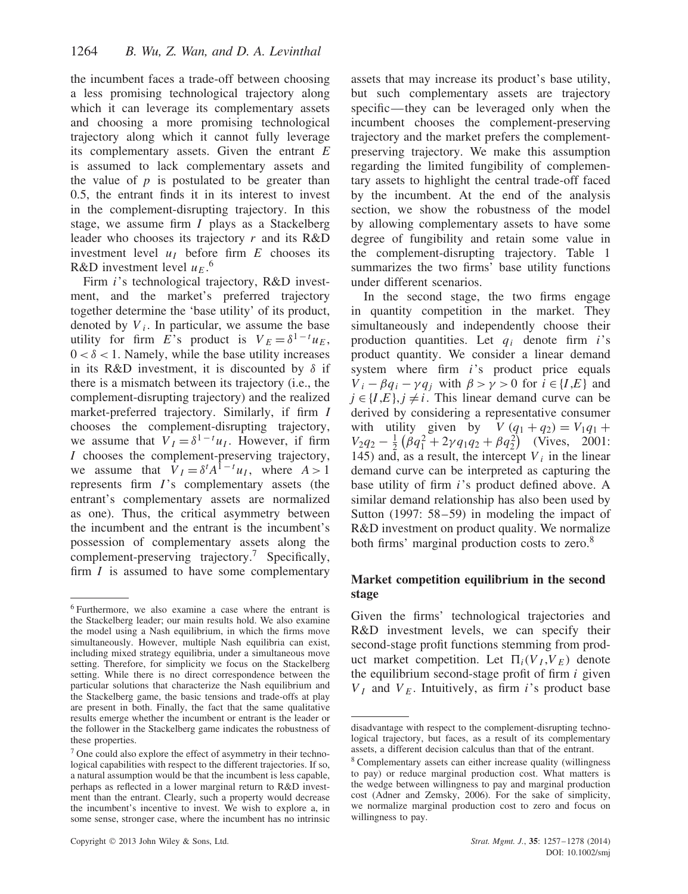the incumbent faces a trade-off between choosing a less promising technological trajectory along which it can leverage its complementary assets and choosing a more promising technological trajectory along which it cannot fully leverage its complementary assets. Given the entrant *E* is assumed to lack complementary assets and the value of *p* is postulated to be greater than 0.5, the entrant finds it in its interest to invest in the complement-disrupting trajectory. In this stage, we assume firm *I* plays as a Stackelberg leader who chooses its trajectory *r* and its R&D investment level  $u_I$  before firm  $E$  chooses its R&D investment level  $u_E$ .<sup>6</sup>

Firm *i*'s technological trajectory, R&D investment, and the market's preferred trajectory together determine the 'base utility' of its product, denoted by  $V_i$ . In particular, we assume the base utility for firm *E*'s product is  $V_E = \delta^{1-t} u_E$ ,  $0 < \delta < 1$ . Namely, while the base utility increases in its R&D investment, it is discounted by *δ* if there is a mismatch between its trajectory (i.e., the complement-disrupting trajectory) and the realized market-preferred trajectory. Similarly, if firm *I* chooses the complement-disrupting trajectory, we assume that  $V_I = \delta^{1-t} u_I$ . However, if firm *I* chooses the complement-preserving trajectory, we assume that  $V_I = \delta^t A^{1-t} u_I$ , where  $A > 1$ represents firm *I*'s complementary assets (the entrant's complementary assets are normalized as one). Thus, the critical asymmetry between the incumbent and the entrant is the incumbent's possession of complementary assets along the complement-preserving trajectory.<sup>7</sup> Specifically, firm *I* is assumed to have some complementary

assets that may increase its product's base utility, but such complementary assets are trajectory specific—they can be leveraged only when the incumbent chooses the complement-preserving trajectory and the market prefers the complementpreserving trajectory. We make this assumption regarding the limited fungibility of complementary assets to highlight the central trade-off faced by the incumbent. At the end of the analysis section, we show the robustness of the model by allowing complementary assets to have some degree of fungibility and retain some value in the complement-disrupting trajectory. Table 1 summarizes the two firms' base utility functions under different scenarios.

In the second stage, the two firms engage in quantity competition in the market. They simultaneously and independently choose their production quantities. Let *qi* denote firm *i*'s product quantity. We consider a linear demand system where firm *i*'s product price equals  $V_i - \beta q_i - \gamma q_j$  with  $\beta > \gamma > 0$  for  $i \in \{I, E\}$  and  $j \in \{I, E\}, j \neq i$ . This linear demand curve can be derived by considering a representative consumer with utility given by  $V (q_1 + q_2) = V_1 q_1 +$  $V_2q_2 - \frac{1}{2}(\beta q_1^2 + 2\gamma q_1q_2 + \beta q_2^2)$  (Vives, 2001: 145) and, as a result, the intercept  $V_i$  in the linear demand curve can be interpreted as capturing the base utility of firm *i*'s product defined above. A similar demand relationship has also been used by Sutton (1997: 58–59) in modeling the impact of R&D investment on product quality. We normalize both firms' marginal production costs to zero.<sup>8</sup>

# **Market competition equilibrium in the second stage**

Given the firms' technological trajectories and R&D investment levels, we can specify their second-stage profit functions stemming from product market competition. Let  $\Pi_i(V_I, V_E)$  denote the equilibrium second-stage profit of firm *i* given  $V_I$  and  $V_E$ . Intuitively, as firm *i*'s product base

<sup>6</sup> Furthermore, we also examine a case where the entrant is the Stackelberg leader; our main results hold. We also examine the model using a Nash equilibrium, in which the firms move simultaneously. However, multiple Nash equilibria can exist, including mixed strategy equilibria, under a simultaneous move setting. Therefore, for simplicity we focus on the Stackelberg setting. While there is no direct correspondence between the particular solutions that characterize the Nash equilibrium and the Stackelberg game, the basic tensions and trade-offs at play are present in both. Finally, the fact that the same qualitative results emerge whether the incumbent or entrant is the leader or the follower in the Stackelberg game indicates the robustness of these properties.

 $<sup>7</sup>$  One could also explore the effect of asymmetry in their techno-</sup> logical capabilities with respect to the different trajectories. If so, a natural assumption would be that the incumbent is less capable, perhaps as reflected in a lower marginal return to R&D investment than the entrant. Clearly, such a property would decrease the incumbent's incentive to invest. We wish to explore a, in some sense, stronger case, where the incumbent has no intrinsic

disadvantage with respect to the complement-disrupting technological trajectory, but faces, as a result of its complementary assets, a different decision calculus than that of the entrant.

<sup>8</sup> Complementary assets can either increase quality (willingness to pay) or reduce marginal production cost. What matters is the wedge between willingness to pay and marginal production cost (Adner and Zemsky, 2006). For the sake of simplicity, we normalize marginal production cost to zero and focus on willingness to pay.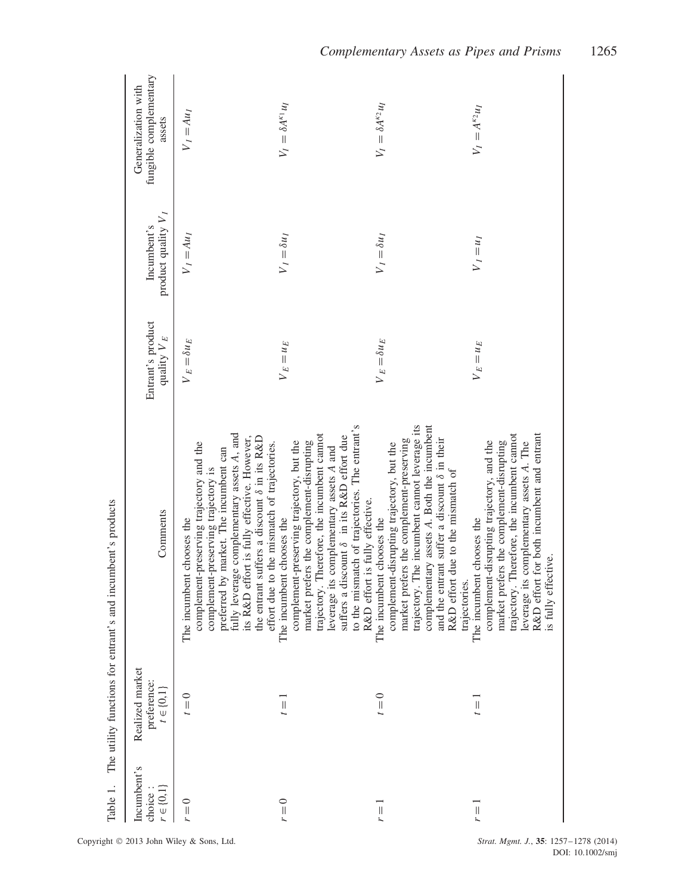| Table 1.                                |                                                   | The utility functions for entrant's and incumbent's products                                                                                                                                                                                                                                                                                             |                                    |                                      |                                                         |
|-----------------------------------------|---------------------------------------------------|----------------------------------------------------------------------------------------------------------------------------------------------------------------------------------------------------------------------------------------------------------------------------------------------------------------------------------------------------------|------------------------------------|--------------------------------------|---------------------------------------------------------|
| Incumbent's<br>$r\in\{0,1\}$<br>choice: | Realized market<br>preference:<br>$t \in \{0,1\}$ | Comments                                                                                                                                                                                                                                                                                                                                                 | Entrant's product<br>quality $V_E$ | product quality $V_I$<br>Incumbent's | fungible complementary<br>Generalization with<br>assets |
| $r = 0$                                 | $t = 0$                                           | preferred by market. The incumbent can<br>fully leverage complementary assets A, and<br>its R&D effort is fully effective. However,<br>the entrant suffers a discount $\delta$ in its R&D<br>complement-preserving trajectory and the<br>effort due to the mismatch of trajectories.<br>complement-preserving trajectory is<br>The incumbent chooses the | $V_E = \delta u_E$                 | $V_I = Au_I$                         | $V_I = Au_I$                                            |
| $r = 0$                                 | $\equiv$                                          | to the mismatch of trajectories. The entrant's<br>trajectory. Therefore, the incumbent cannot<br>suffers a discount $\delta$ in its R&D effort due<br>market prefers the complement-disrupting<br>complement-preserving trajectory, but the<br>leverage its complementary assets A and<br>R&D effort is fully effective.<br>The incumbent chooses the    | $V_E = u_E$                        | $V_I = \delta u_I$                   | $V_I = \delta A^{\kappa_1} u_I$                         |
| $r =$                                   | $t = 0$                                           | trajectory. The incumbent cannot leverage its<br>complementary assets A. Both the incumbent<br>and the entrant suffer a discount $\delta$ in their<br>market prefers the complement-preserving<br>complement-disrupting trajectory, but the<br>R&D effort due to the mismatch of<br>The incumbent chooses the<br>trajectories.                           | $V_E = \delta u_E$                 | $V_I = \delta u_I$                   | $V_I = \delta A^{\kappa_2} u_I$                         |
| $\left  {}\right $                      | $\equiv$                                          | trajectory. Therefore, the incumbent cannot<br>R&D effort for both incumbent and entrant<br>market prefers the complement-disrupting<br>complement-disrupting trajectory, and the<br>leverage its complementary assets A. The<br>The incumbent chooses the<br>is fully effective.                                                                        | $V_E = u_E$                        | $V_I = u_I$                          | $V_I = A^{\kappa_2} u_I$                                |

The utility functions for entrant's and incumbent's products Table 1. The utility functions for entrant's and incumbent's products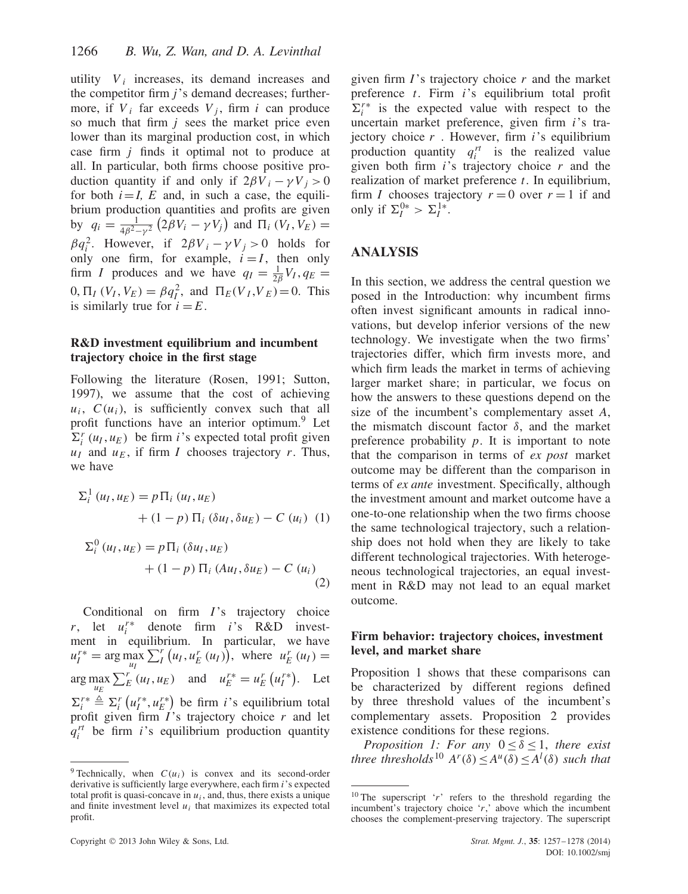utility  $V_i$  increases, its demand increases and the competitor firm *j*'s demand decreases; furthermore, if  $V_i$  far exceeds  $V_i$ , firm *i* can produce so much that firm *j* sees the market price even lower than its marginal production cost, in which case firm *j* finds it optimal not to produce at all. In particular, both firms choose positive production quantity if and only if  $2\beta V_i - \gamma V_j > 0$ for both  $i = I$ , E and, in such a case, the equilibrium production quantities and profits are given by  $q_i = \frac{1}{4\beta^2 - \gamma^2} (2\beta V_i - \gamma V_j)$  and  $\Pi_i (V_I, V_E) =$ *β* $q_i^2$ . However, if  $2\beta V_i - \gamma V_j > 0$  holds for only one firm, for example,  $i = I$ , then only firm *I* produces and we have  $q_I = \frac{1}{2\beta} V_I$ ,  $q_E =$  $0, \Pi_I (V_I, V_E) = \beta q_I^2$ , and  $\Pi_E (V_I, V_E) = 0$ . This is similarly true for  $i = E$ .

### **R&D investment equilibrium and incumbent trajectory choice in the first stage**

Following the literature (Rosen, 1991; Sutton, 1997), we assume that the cost of achieving  $u_i$ ,  $C(u_i)$ , is sufficiently convex such that all profit functions have an interior optimum.<sup>9</sup> Let  $\Sigma_i^r(u_I, u_E)$  be firm *i*'s expected total profit given  $u_I$  and  $u_E$ , if firm *I* chooses trajectory *r*. Thus, we have

$$
\Sigma_i^1(u_I, u_E) = p \Pi_i (u_I, u_E)
$$
  
+ (1 - p) \Pi\_i (\delta u\_I, \delta u\_E) - C (u\_i) (1)  

$$
\Sigma_i^0(u_I, u_E) = p \Pi_i (\delta u_I, u_E)
$$

$$
+(1-p) \Pi_i (Au_I, \delta u_E) - C (u_i)
$$
\n
$$
(2)
$$

Conditional on firm *I*'s trajectory choice *r*, let  $u_i^{r*}$  denote firm *i*'s R&D investment in equilibrium. In particular, we have  $u_I^{r*} = \arg \max_{u_I} \sum_I^r (u_I, u_E^r(u_I)),$  where  $u_E^r(u_I) =$  $\arg \max_{u_E} \sum_E^r (u_I, u_E)$  and  $u_E^{r*} = u_E^r (u_I^{r*}).$  Let  $\Sigma_i^{r*} \triangleq \Sigma_i^r (u_i^{r*}, u_E^{r*})$  be firm *i*'s equilibrium total profit given firm *I*'s trajectory choice *r* and let  $q_i^r$  be firm *i*'s equilibrium production quantity

given firm *I*'s trajectory choice *r* and the market preference *t*. Firm *i*'s equilibrium total profit  $\Sigma_i^{r*}$  is the expected value with respect to the uncertain market preference, given firm *i*'s trajectory choice *r* . However, firm *i*'s equilibrium production quantity  $q_i^{rt}$  is the realized value given both firm *i*'s trajectory choice *r* and the realization of market preference *t*. In equilibrium, firm *I* chooses trajectory  $r = 0$  over  $r = 1$  if and only if  $\Sigma_I^{0*} > \Sigma_I^{1*}$ .

# **ANALYSIS**

In this section, we address the central question we posed in the Introduction: why incumbent firms often invest significant amounts in radical innovations, but develop inferior versions of the new technology. We investigate when the two firms' trajectories differ, which firm invests more, and which firm leads the market in terms of achieving larger market share; in particular, we focus on how the answers to these questions depend on the size of the incumbent's complementary asset *A*, the mismatch discount factor *δ*, and the market preference probability *p*. It is important to note that the comparison in terms of *ex post* market outcome may be different than the comparison in terms of *ex ante* investment. Specifically, although the investment amount and market outcome have a one-to-one relationship when the two firms choose the same technological trajectory, such a relationship does not hold when they are likely to take different technological trajectories. With heterogeneous technological trajectories, an equal investment in R&D may not lead to an equal market outcome.

### **Firm behavior: trajectory choices, investment level, and market share**

Proposition 1 shows that these comparisons can be characterized by different regions defined by three threshold values of the incumbent's complementary assets. Proposition 2 provides existence conditions for these regions.

*Proposition 1: For any*  $0 \leq \delta \leq 1$ , *there exist three thresholds*<sup>10</sup>  $A^r(\delta) \leq A^u(\delta) \leq A^l(\delta)$  *such that* 

<sup>&</sup>lt;sup>9</sup> Technically, when  $C(u_i)$  is convex and its second-order derivative is sufficiently large everywhere, each firm *i*'s expected total profit is quasi-concave in  $u_i$ , and, thus, there exists a unique and finite investment level  $u_i$  that maximizes its expected total profit.

<sup>&</sup>lt;sup>10</sup> The superscript 'r' refers to the threshold regarding the incumbent's trajectory choice '*r*,' above which the incumbent chooses the complement-preserving trajectory. The superscript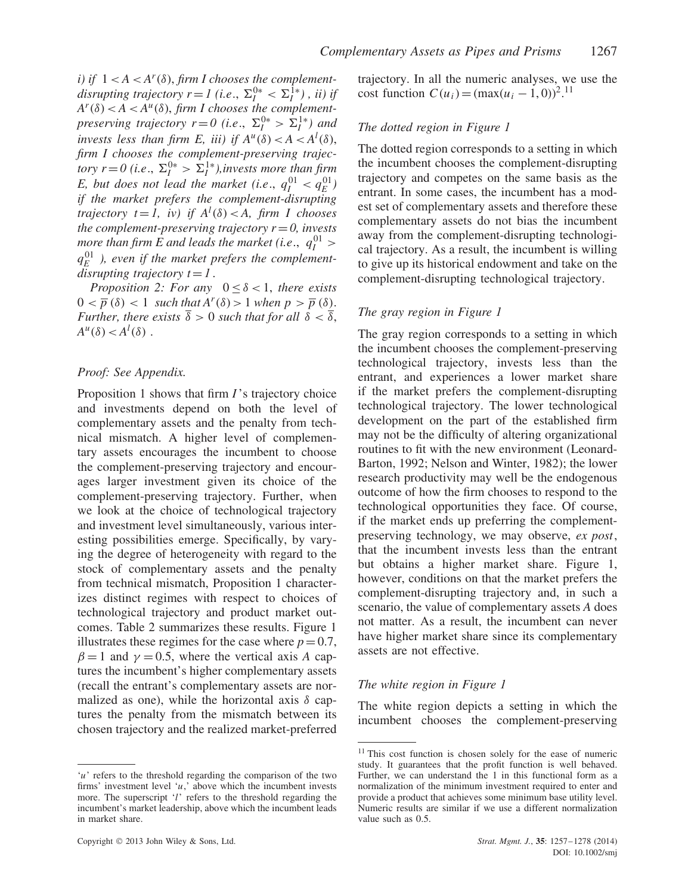*i*) *if*  $1 < A < A<sup>r</sup>(\delta)$ , *firm I chooses the complementdisrupting trajectory r* = *I* (*i.e.*,  $\Sigma_I^{0*} < \Sigma_I^{1*}$ ), *ii*) *if*  $A^r(\delta) < A < A^u(\delta)$ , *firm I chooses the complementpreserving trajectory r*=0 (*i.e.*,  $\Sigma_I^{0*} > \Sigma_I^{1*}$ ) and *invests less than firm E, iii) if*  $A^u(\delta) < A < A^l(\delta)$ , *firm I chooses the complement-preserving trajectory r*=0 (*i.e.*,  $\Sigma_I^{0*} > \Sigma_I^{1*}$ ), invests more than firm *E*, but does not lead the market (i.e.,  $q_I^{01} < q_E^{01}$ ) *if the market prefers the complement-disrupting trajectory*  $t = 1$ , *iv*) *if*  $A<sup>l</sup>(\delta) < A$ , *firm I* chooses *the complement-preserving trajectory*  $r = 0$ *, invests more than firm E and leads the market (i.e.,*  $q_I^{01} >$  $q_E^{01}$  ), even if the market prefers the complement*disrupting trajectory*  $t = 1$ *.* 

*Proposition 2: For any*  $0 < \delta < 1$ , *there exists*  $0 < \overline{p}(\delta) < 1$  *such that*  $A^r(\delta) > 1$  *when*  $p > \overline{p}(\delta)$ *. Further, there exists*  $\overline{\delta} > 0$  *such that for all*  $\delta < \overline{\delta}$ ,  $A^u(\delta) < A^l(\delta)$ .

#### *Proof: See Appendix.*

Proposition 1 shows that firm *I*'s trajectory choice and investments depend on both the level of complementary assets and the penalty from technical mismatch. A higher level of complementary assets encourages the incumbent to choose the complement-preserving trajectory and encourages larger investment given its choice of the complement-preserving trajectory. Further, when we look at the choice of technological trajectory and investment level simultaneously, various interesting possibilities emerge. Specifically, by varying the degree of heterogeneity with regard to the stock of complementary assets and the penalty from technical mismatch, Proposition 1 characterizes distinct regimes with respect to choices of technological trajectory and product market outcomes. Table 2 summarizes these results. Figure 1 illustrates these regimes for the case where  $p = 0.7$ ,  $\beta = 1$  and  $\gamma = 0.5$ , where the vertical axis *A* captures the incumbent's higher complementary assets (recall the entrant's complementary assets are normalized as one), while the horizontal axis *δ* captures the penalty from the mismatch between its chosen trajectory and the realized market-preferred

trajectory. In all the numeric analyses, we use the cost function  $C(u_i) = (\max(u_i - 1, 0))^2$ .<sup>11</sup>

#### *The dotted region in Figure 1*

The dotted region corresponds to a setting in which the incumbent chooses the complement-disrupting trajectory and competes on the same basis as the entrant. In some cases, the incumbent has a modest set of complementary assets and therefore these complementary assets do not bias the incumbent away from the complement-disrupting technological trajectory. As a result, the incumbent is willing to give up its historical endowment and take on the complement-disrupting technological trajectory.

#### *The gray region in Figure 1*

The gray region corresponds to a setting in which the incumbent chooses the complement-preserving technological trajectory, invests less than the entrant, and experiences a lower market share if the market prefers the complement-disrupting technological trajectory. The lower technological development on the part of the established firm may not be the difficulty of altering organizational routines to fit with the new environment (Leonard-Barton, 1992; Nelson and Winter, 1982); the lower research productivity may well be the endogenous outcome of how the firm chooses to respond to the technological opportunities they face. Of course, if the market ends up preferring the complementpreserving technology, we may observe, *ex post*, that the incumbent invests less than the entrant but obtains a higher market share. Figure 1, however, conditions on that the market prefers the complement-disrupting trajectory and, in such a scenario, the value of complementary assets *A* does not matter. As a result, the incumbent can never have higher market share since its complementary assets are not effective.

#### *The white region in Figure 1*

The white region depicts a setting in which the incumbent chooses the complement-preserving

<sup>&#</sup>x27;*u*' refers to the threshold regarding the comparison of the two firms' investment level '*u*,' above which the incumbent invests more. The superscript '*l*' refers to the threshold regarding the incumbent's market leadership, above which the incumbent leads in market share.

<sup>&</sup>lt;sup>11</sup> This cost function is chosen solely for the ease of numeric study. It guarantees that the profit function is well behaved. Further, we can understand the 1 in this functional form as a normalization of the minimum investment required to enter and provide a product that achieves some minimum base utility level. Numeric results are similar if we use a different normalization value such as 0.5.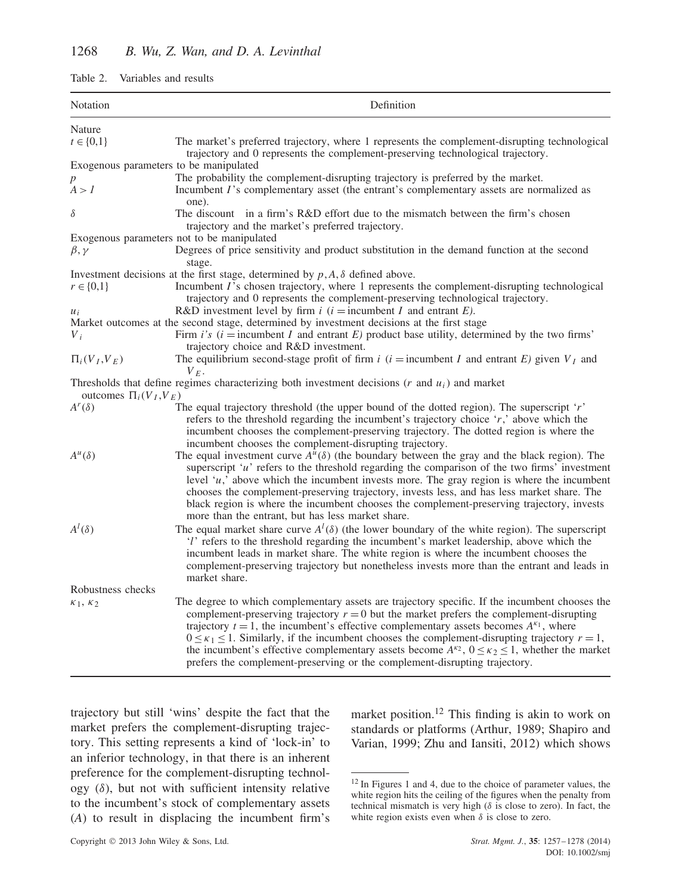| Notation                                                                                                                                    | Definition                                                                                                                                                                                                                                                                                                                                                                                                                                                                                                                                                                                                               |  |
|---------------------------------------------------------------------------------------------------------------------------------------------|--------------------------------------------------------------------------------------------------------------------------------------------------------------------------------------------------------------------------------------------------------------------------------------------------------------------------------------------------------------------------------------------------------------------------------------------------------------------------------------------------------------------------------------------------------------------------------------------------------------------------|--|
| Nature                                                                                                                                      |                                                                                                                                                                                                                                                                                                                                                                                                                                                                                                                                                                                                                          |  |
| $t \in \{0,1\}$                                                                                                                             | The market's preferred trajectory, where 1 represents the complement-disrupting technological<br>trajectory and 0 represents the complement-preserving technological trajectory.                                                                                                                                                                                                                                                                                                                                                                                                                                         |  |
| Exogenous parameters to be manipulated                                                                                                      |                                                                                                                                                                                                                                                                                                                                                                                                                                                                                                                                                                                                                          |  |
| $\boldsymbol{p}$                                                                                                                            | The probability the complement-disrupting trajectory is preferred by the market.                                                                                                                                                                                                                                                                                                                                                                                                                                                                                                                                         |  |
| A > I                                                                                                                                       | Incumbent I's complementary asset (the entrant's complementary assets are normalized as<br>one).                                                                                                                                                                                                                                                                                                                                                                                                                                                                                                                         |  |
| $\delta$                                                                                                                                    | The discount in a firm's R&D effort due to the mismatch between the firm's chosen<br>trajectory and the market's preferred trajectory.                                                                                                                                                                                                                                                                                                                                                                                                                                                                                   |  |
|                                                                                                                                             | Exogenous parameters not to be manipulated                                                                                                                                                                                                                                                                                                                                                                                                                                                                                                                                                                               |  |
| $\beta, \gamma$                                                                                                                             | Degrees of price sensitivity and product substitution in the demand function at the second<br>stage.                                                                                                                                                                                                                                                                                                                                                                                                                                                                                                                     |  |
|                                                                                                                                             | Investment decisions at the first stage, determined by $p, A, \delta$ defined above.                                                                                                                                                                                                                                                                                                                                                                                                                                                                                                                                     |  |
| $r \in \{0,1\}$                                                                                                                             | Incumbent I's chosen trajectory, where 1 represents the complement-disrupting technological<br>trajectory and 0 represents the complement-preserving technological trajectory.                                                                                                                                                                                                                                                                                                                                                                                                                                           |  |
| $u_i$                                                                                                                                       | R&D investment level by firm $i$ ( $i =$ incumbent $I$ and entrant $E$ ).                                                                                                                                                                                                                                                                                                                                                                                                                                                                                                                                                |  |
|                                                                                                                                             | Market outcomes at the second stage, determined by investment decisions at the first stage                                                                                                                                                                                                                                                                                                                                                                                                                                                                                                                               |  |
| $V_i$                                                                                                                                       | Firm i's $(i =$ incumbent I and entrant E) product base utility, determined by the two firms'                                                                                                                                                                                                                                                                                                                                                                                                                                                                                                                            |  |
| $\Pi_i(V_I,V_E)$                                                                                                                            | trajectory choice and R&D investment.<br>The equilibrium second-stage profit of firm i (i = incumbent I and entrant E) given $V_I$ and                                                                                                                                                                                                                                                                                                                                                                                                                                                                                   |  |
| $V_F$ .<br>Thresholds that define regimes characterizing both investment decisions $(r$ and $u_i)$ and market<br>outcomes $\Pi_i(V_I, V_E)$ |                                                                                                                                                                                                                                                                                                                                                                                                                                                                                                                                                                                                                          |  |
| $A^r(\delta)$                                                                                                                               | The equal trajectory threshold (the upper bound of the dotted region). The superscript $\dot{r}$<br>refers to the threshold regarding the incumbent's trajectory choice 'r,' above which the<br>incumbent chooses the complement-preserving trajectory. The dotted region is where the<br>incumbent chooses the complement-disrupting trajectory.                                                                                                                                                                                                                                                                        |  |
| $A^u(\delta)$                                                                                                                               | The equal investment curve $A^u(\delta)$ (the boundary between the gray and the black region). The<br>superscript ' $u$ ' refers to the threshold regarding the comparison of the two firms' investment<br>level $\mu$ , above which the incumbent invests more. The gray region is where the incumbent<br>chooses the complement-preserving trajectory, invests less, and has less market share. The<br>black region is where the incumbent chooses the complement-preserving trajectory, invests<br>more than the entrant, but has less market share.                                                                  |  |
| $A^l(\delta)$                                                                                                                               | The equal market share curve $A^{l}(\delta)$ (the lower boundary of the white region). The superscript<br>'l' refers to the threshold regarding the incumbent's market leadership, above which the<br>incumbent leads in market share. The white region is where the incumbent chooses the<br>complement-preserving trajectory but nonetheless invests more than the entrant and leads in<br>market share.                                                                                                                                                                                                               |  |
| Robustness checks                                                                                                                           |                                                                                                                                                                                                                                                                                                                                                                                                                                                                                                                                                                                                                          |  |
| $\kappa_1, \kappa_2$                                                                                                                        | The degree to which complementary assets are trajectory specific. If the incumbent chooses the<br>complement-preserving trajectory $r = 0$ but the market prefers the complement-disrupting<br>trajectory $t = 1$ , the incumbent's effective complementary assets becomes $A^{\kappa_1}$ , where<br>$0 \leq \kappa_1 \leq 1$ . Similarly, if the incumbent chooses the complement-disrupting trajectory $r = 1$ ,<br>the incumbent's effective complementary assets become $A^{\kappa_2}$ , $0 \leq \kappa_2 \leq 1$ , whether the market<br>prefers the complement-preserving or the complement-disrupting trajectory. |  |

trajectory but still 'wins' despite the fact that the market prefers the complement-disrupting trajectory. This setting represents a kind of 'lock-in' to an inferior technology, in that there is an inherent preference for the complement-disrupting technology  $(\delta)$ , but not with sufficient intensity relative to the incumbent's stock of complementary assets (*A*) to result in displacing the incumbent firm's market position.<sup>12</sup> This finding is akin to work on standards or platforms (Arthur, 1989; Shapiro and Varian, 1999; Zhu and Iansiti, 2012) which shows

<sup>12</sup> In Figures 1 and 4, due to the choice of parameter values, the white region hits the ceiling of the figures when the penalty from technical mismatch is very high (*δ* is close to zero). In fact, the white region exists even when  $\delta$  is close to zero.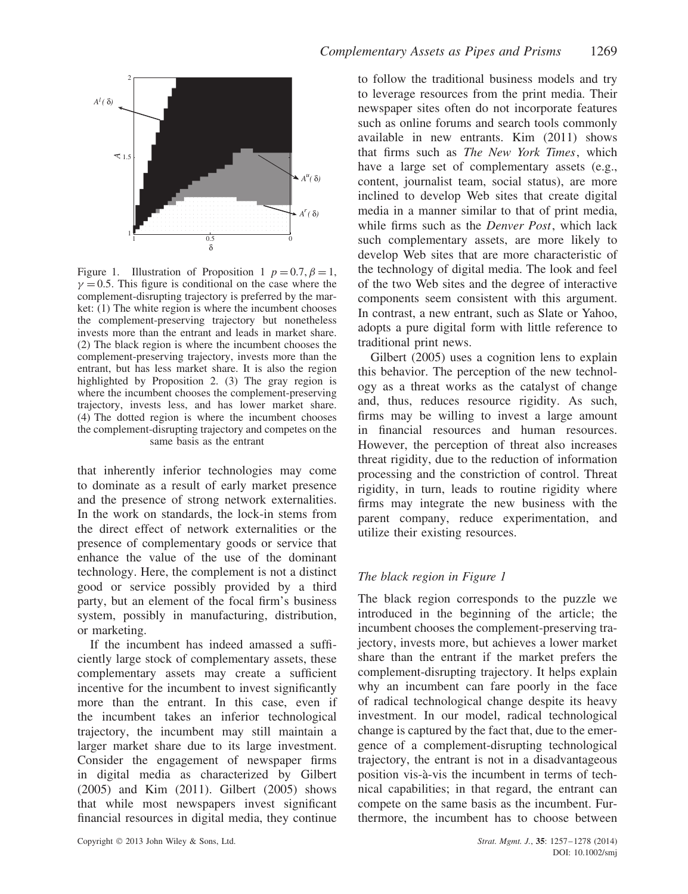

Figure 1. Illustration of Proposition 1  $p = 0.7$ ,  $\beta = 1$ ,  $\gamma = 0.5$ . This figure is conditional on the case where the complement-disrupting trajectory is preferred by the market:  $(1)$  The white region is where the incumbent chooses the complement-preserving trajectory but nonetheless invests more than the entrant and leads in market share. (2) The black region is where the incumbent chooses the complement-preserving trajectory, invests more than the entrant, but has less market share. It is also the region highlighted by Proposition 2. (3) The gray region is where the incumbent chooses the complement-preserving trajectory, invests less, and has lower market share. (4) The dotted region is where the incumbent chooses the complement-disrupting trajectory and competes on the same basis as the entrant

that inherently inferior technologies may come to dominate as a result of early market presence and the presence of strong network externalities. In the work on standards, the lock-in stems from the direct effect of network externalities or the presence of complementary goods or service that enhance the value of the use of the dominant technology. Here, the complement is not a distinct good or service possibly provided by a third party, but an element of the focal firm's business system, possibly in manufacturing, distribution, or marketing.

If the incumbent has indeed amassed a sufficiently large stock of complementary assets, these complementary assets may create a sufficient incentive for the incumbent to invest significantly more than the entrant. In this case, even if the incumbent takes an inferior technological trajectory, the incumbent may still maintain a larger market share due to its large investment. Consider the engagement of newspaper firms in digital media as characterized by Gilbert (2005) and Kim (2011). Gilbert (2005) shows that while most newspapers invest significant financial resources in digital media, they continue to follow the traditional business models and try to leverage resources from the print media. Their newspaper sites often do not incorporate features such as online forums and search tools commonly available in new entrants. Kim (2011) shows that firms such as *The New York Times*, which have a large set of complementary assets (e.g., content, journalist team, social status), are more inclined to develop Web sites that create digital media in a manner similar to that of print media, while firms such as the *Denver Post*, which lack such complementary assets, are more likely to develop Web sites that are more characteristic of the technology of digital media. The look and feel of the two Web sites and the degree of interactive components seem consistent with this argument. In contrast, a new entrant, such as Slate or Yahoo, adopts a pure digital form with little reference to traditional print news.

Gilbert (2005) uses a cognition lens to explain this behavior. The perception of the new technology as a threat works as the catalyst of change and, thus, reduces resource rigidity. As such, firms may be willing to invest a large amount in financial resources and human resources. However, the perception of threat also increases threat rigidity, due to the reduction of information processing and the constriction of control. Threat rigidity, in turn, leads to routine rigidity where firms may integrate the new business with the parent company, reduce experimentation, and utilize their existing resources.

# *The black region in Figure 1*

The black region corresponds to the puzzle we introduced in the beginning of the article; the incumbent chooses the complement-preserving trajectory, invests more, but achieves a lower market share than the entrant if the market prefers the complement-disrupting trajectory. It helps explain why an incumbent can fare poorly in the face of radical technological change despite its heavy investment. In our model, radical technological change is captured by the fact that, due to the emergence of a complement-disrupting technological trajectory, the entrant is not in a disadvantageous position vis-a-vis the incumbent in terms of tech- ` nical capabilities; in that regard, the entrant can compete on the same basis as the incumbent. Furthermore, the incumbent has to choose between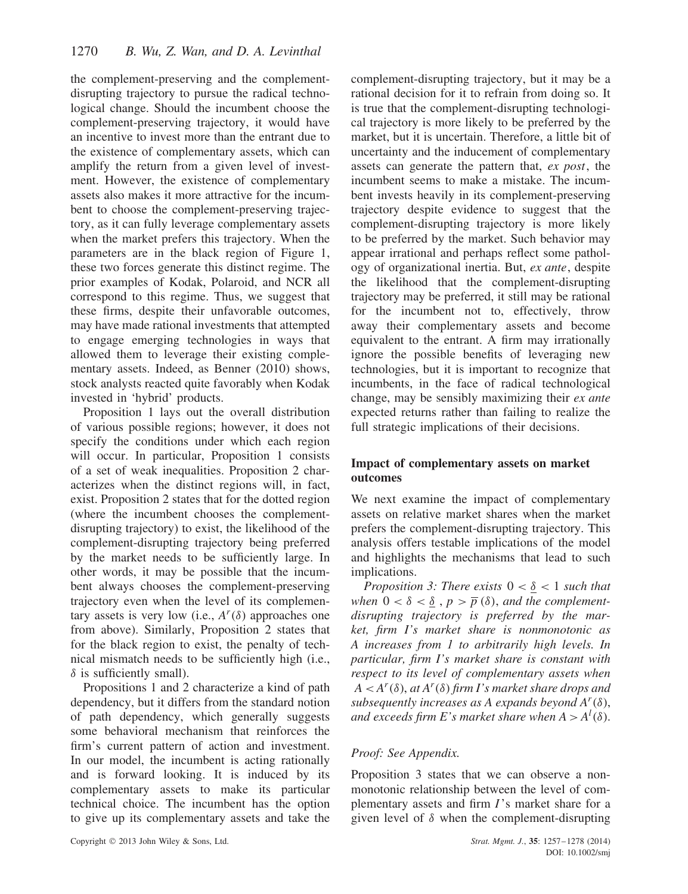the complement-preserving and the complementdisrupting trajectory to pursue the radical technological change. Should the incumbent choose the complement-preserving trajectory, it would have an incentive to invest more than the entrant due to the existence of complementary assets, which can amplify the return from a given level of investment. However, the existence of complementary assets also makes it more attractive for the incumbent to choose the complement-preserving trajectory, as it can fully leverage complementary assets when the market prefers this trajectory. When the parameters are in the black region of Figure 1, these two forces generate this distinct regime. The prior examples of Kodak, Polaroid, and NCR all correspond to this regime. Thus, we suggest that these firms, despite their unfavorable outcomes, may have made rational investments that attempted to engage emerging technologies in ways that allowed them to leverage their existing complementary assets. Indeed, as Benner (2010) shows, stock analysts reacted quite favorably when Kodak invested in 'hybrid' products.

Proposition 1 lays out the overall distribution of various possible regions; however, it does not specify the conditions under which each region will occur. In particular, Proposition 1 consists of a set of weak inequalities. Proposition 2 characterizes when the distinct regions will, in fact, exist. Proposition 2 states that for the dotted region (where the incumbent chooses the complementdisrupting trajectory) to exist, the likelihood of the complement-disrupting trajectory being preferred by the market needs to be sufficiently large. In other words, it may be possible that the incumbent always chooses the complement-preserving trajectory even when the level of its complementary assets is very low (i.e.,  $A<sup>r</sup>(\delta)$  approaches one from above). Similarly, Proposition 2 states that for the black region to exist, the penalty of technical mismatch needs to be sufficiently high (i.e., *δ* is sufficiently small).

Propositions 1 and 2 characterize a kind of path dependency, but it differs from the standard notion of path dependency, which generally suggests some behavioral mechanism that reinforces the firm's current pattern of action and investment. In our model, the incumbent is acting rationally and is forward looking. It is induced by its complementary assets to make its particular technical choice. The incumbent has the option to give up its complementary assets and take the complement-disrupting trajectory, but it may be a rational decision for it to refrain from doing so. It is true that the complement-disrupting technological trajectory is more likely to be preferred by the market, but it is uncertain. Therefore, a little bit of uncertainty and the inducement of complementary assets can generate the pattern that, *ex post*, the incumbent seems to make a mistake. The incumbent invests heavily in its complement-preserving trajectory despite evidence to suggest that the complement-disrupting trajectory is more likely to be preferred by the market. Such behavior may appear irrational and perhaps reflect some pathology of organizational inertia. But, *ex ante*, despite the likelihood that the complement-disrupting trajectory may be preferred, it still may be rational for the incumbent not to, effectively, throw away their complementary assets and become equivalent to the entrant. A firm may irrationally ignore the possible benefits of leveraging new technologies, but it is important to recognize that incumbents, in the face of radical technological change, may be sensibly maximizing their *ex ante* expected returns rather than failing to realize the full strategic implications of their decisions.

# **Impact of complementary assets on market outcomes**

We next examine the impact of complementary assets on relative market shares when the market prefers the complement-disrupting trajectory. This analysis offers testable implications of the model and highlights the mechanisms that lead to such implications.

*Proposition 3: There exists*  $0 < \underline{\delta} < 1$  *such that when*  $0 < \delta < \delta$ ,  $p > \overline{p}(\delta)$ , *and the complementdisrupting trajectory is preferred by the market, firm I's market share is nonmonotonic as A increases from 1 to arbitrarily high levels. In particular, firm I's market share is constant with respect to its level of complementary assets when*  $A < A^r(\delta)$ , *at*  $A^r(\delta)$  *firm I's market share drops and subsequently increases as A expands beyond*  $A^r(\delta)$ *,* and exceeds firm E's market share when  $A > A^l(\delta)$ .

# *Proof: See Appendix.*

Proposition 3 states that we can observe a nonmonotonic relationship between the level of complementary assets and firm *I*'s market share for a given level of *δ* when the complement-disrupting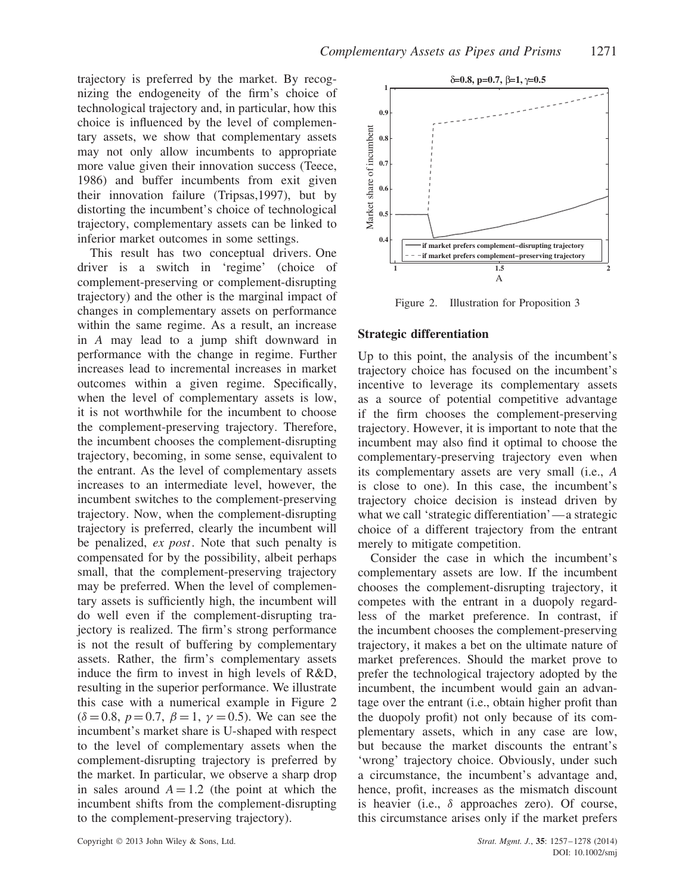trajectory is preferred by the market. By recognizing the endogeneity of the firm's choice of technological trajectory and, in particular, how this choice is influenced by the level of complementary assets, we show that complementary assets may not only allow incumbents to appropriate more value given their innovation success (Teece, 1986) and buffer incumbents from exit given their innovation failure (Tripsas,1997), but by distorting the incumbent's choice of technological trajectory, complementary assets can be linked to inferior market outcomes in some settings.

This result has two conceptual drivers. One driver is a switch in 'regime' (choice of complement-preserving or complement-disrupting trajectory) and the other is the marginal impact of changes in complementary assets on performance within the same regime. As a result, an increase in *A* may lead to a jump shift downward in performance with the change in regime. Further increases lead to incremental increases in market outcomes within a given regime. Specifically, when the level of complementary assets is low, it is not worthwhile for the incumbent to choose the complement-preserving trajectory. Therefore, the incumbent chooses the complement-disrupting trajectory, becoming, in some sense, equivalent to the entrant. As the level of complementary assets increases to an intermediate level, however, the incumbent switches to the complement-preserving trajectory. Now, when the complement-disrupting trajectory is preferred, clearly the incumbent will be penalized, *ex post*. Note that such penalty is compensated for by the possibility, albeit perhaps small, that the complement-preserving trajectory may be preferred. When the level of complementary assets is sufficiently high, the incumbent will do well even if the complement-disrupting trajectory is realized. The firm's strong performance is not the result of buffering by complementary assets. Rather, the firm's complementary assets induce the firm to invest in high levels of R&D, resulting in the superior performance. We illustrate this case with a numerical example in Figure 2  $(\delta = 0.8, p = 0.7, \beta = 1, \gamma = 0.5)$ . We can see the incumbent's market share is U-shaped with respect to the level of complementary assets when the complement-disrupting trajectory is preferred by the market. In particular, we observe a sharp drop in sales around  $A = 1.2$  (the point at which the incumbent shifts from the complement-disrupting to the complement-preserving trajectory).



Figure 2. Illustration for Proposition 3

### **Strategic differentiation**

Up to this point, the analysis of the incumbent's trajectory choice has focused on the incumbent's incentive to leverage its complementary assets as a source of potential competitive advantage if the firm chooses the complement-preserving trajectory. However, it is important to note that the incumbent may also find it optimal to choose the complementary-preserving trajectory even when its complementary assets are very small (i.e., *A* is close to one). In this case, the incumbent's trajectory choice decision is instead driven by what we call 'strategic differentiation'—a strategic choice of a different trajectory from the entrant merely to mitigate competition.

Consider the case in which the incumbent's complementary assets are low. If the incumbent chooses the complement-disrupting trajectory, it competes with the entrant in a duopoly regardless of the market preference. In contrast, if the incumbent chooses the complement-preserving trajectory, it makes a bet on the ultimate nature of market preferences. Should the market prove to prefer the technological trajectory adopted by the incumbent, the incumbent would gain an advantage over the entrant (i.e., obtain higher profit than the duopoly profit) not only because of its complementary assets, which in any case are low, but because the market discounts the entrant's 'wrong' trajectory choice. Obviously, under such a circumstance, the incumbent's advantage and, hence, profit, increases as the mismatch discount is heavier (i.e., *δ* approaches zero). Of course, this circumstance arises only if the market prefers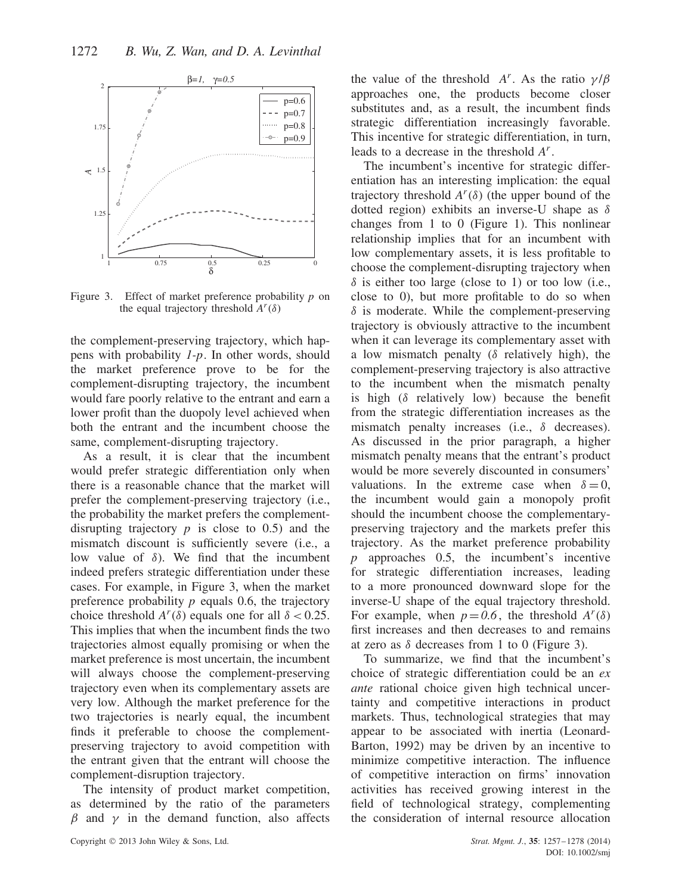

Figure 3. Effect of market preference probability *p* on the equal trajectory threshold  $A^r(\delta)$ 

the complement-preserving trajectory, which happens with probability *1-p*. In other words, should the market preference prove to be for the complement-disrupting trajectory, the incumbent would fare poorly relative to the entrant and earn a lower profit than the duopoly level achieved when both the entrant and the incumbent choose the same, complement-disrupting trajectory.

As a result, it is clear that the incumbent would prefer strategic differentiation only when there is a reasonable chance that the market will prefer the complement-preserving trajectory (i.e., the probability the market prefers the complementdisrupting trajectory  $p$  is close to 0.5) and the mismatch discount is sufficiently severe (i.e., a low value of *δ*). We find that the incumbent indeed prefers strategic differentiation under these cases. For example, in Figure 3, when the market preference probability *p* equals 0.6, the trajectory choice threshold  $A^r(\delta)$  equals one for all  $\delta$  < 0.25. This implies that when the incumbent finds the two trajectories almost equally promising or when the market preference is most uncertain, the incumbent will always choose the complement-preserving trajectory even when its complementary assets are very low. Although the market preference for the two trajectories is nearly equal, the incumbent finds it preferable to choose the complementpreserving trajectory to avoid competition with the entrant given that the entrant will choose the complement-disruption trajectory.

The intensity of product market competition, as determined by the ratio of the parameters *β* and *γ* in the demand function, also affects the value of the threshold *A<sup>r</sup>*. As the ratio  $\gamma/\beta$ approaches one, the products become closer substitutes and, as a result, the incumbent finds strategic differentiation increasingly favorable. This incentive for strategic differentiation, in turn, leads to a decrease in the threshold *Ar*.

The incumbent's incentive for strategic differentiation has an interesting implication: the equal trajectory threshold  $A^r(\delta)$  (the upper bound of the dotted region) exhibits an inverse-U shape as *δ* changes from 1 to 0 (Figure 1). This nonlinear relationship implies that for an incumbent with low complementary assets, it is less profitable to choose the complement-disrupting trajectory when  $\delta$  is either too large (close to 1) or too low (i.e., close to 0), but more profitable to do so when *δ* is moderate. While the complement-preserving trajectory is obviously attractive to the incumbent when it can leverage its complementary asset with a low mismatch penalty (*δ* relatively high), the complement-preserving trajectory is also attractive to the incumbent when the mismatch penalty is high (*δ* relatively low) because the benefit from the strategic differentiation increases as the mismatch penalty increases (i.e., *δ* decreases). As discussed in the prior paragraph, a higher mismatch penalty means that the entrant's product would be more severely discounted in consumers' valuations. In the extreme case when  $\delta = 0$ , the incumbent would gain a monopoly profit should the incumbent choose the complementarypreserving trajectory and the markets prefer this trajectory. As the market preference probability *p* approaches 0.5, the incumbent's incentive for strategic differentiation increases, leading to a more pronounced downward slope for the inverse-U shape of the equal trajectory threshold. For example, when  $p = 0.6$ , the threshold  $A^r(\delta)$ first increases and then decreases to and remains at zero as  $\delta$  decreases from 1 to 0 (Figure 3).

To summarize, we find that the incumbent's choice of strategic differentiation could be an *ex ante* rational choice given high technical uncertainty and competitive interactions in product markets. Thus, technological strategies that may appear to be associated with inertia (Leonard-Barton, 1992) may be driven by an incentive to minimize competitive interaction. The influence of competitive interaction on firms' innovation activities has received growing interest in the field of technological strategy, complementing the consideration of internal resource allocation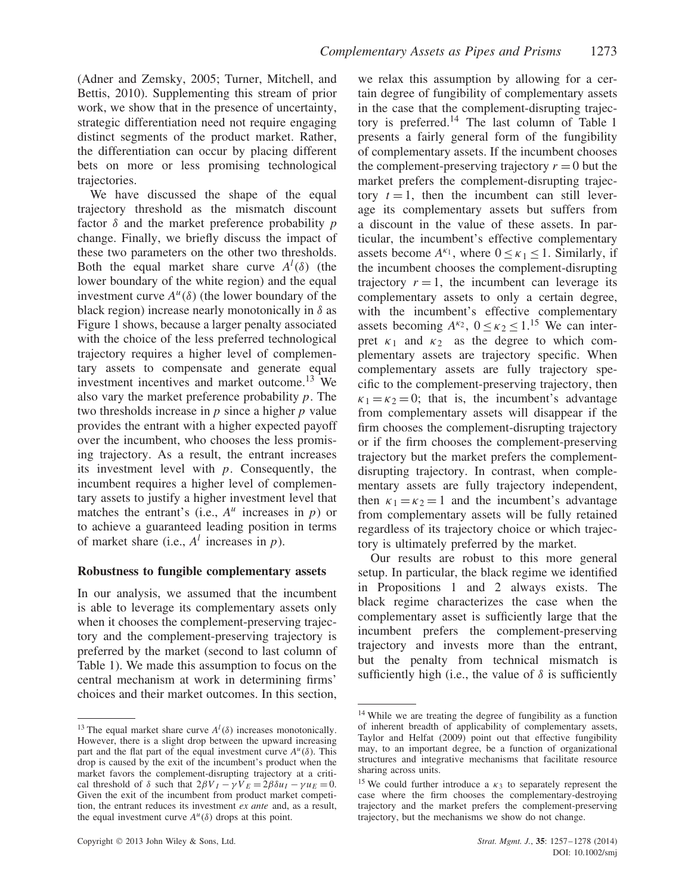(Adner and Zemsky, 2005; Turner, Mitchell, and Bettis, 2010). Supplementing this stream of prior work, we show that in the presence of uncertainty, strategic differentiation need not require engaging distinct segments of the product market. Rather, the differentiation can occur by placing different bets on more or less promising technological trajectories.

We have discussed the shape of the equal trajectory threshold as the mismatch discount factor *δ* and the market preference probability *p* change. Finally, we briefly discuss the impact of these two parameters on the other two thresholds. Both the equal market share curve  $A^l(\delta)$  (the lower boundary of the white region) and the equal investment curve  $A^u(\delta)$  (the lower boundary of the black region) increase nearly monotonically in *δ* as Figure 1 shows, because a larger penalty associated with the choice of the less preferred technological trajectory requires a higher level of complementary assets to compensate and generate equal investment incentives and market outcome.<sup>13</sup> We also vary the market preference probability *p*. The two thresholds increase in *p* since a higher *p* value provides the entrant with a higher expected payoff over the incumbent, who chooses the less promising trajectory. As a result, the entrant increases its investment level with *p*. Consequently, the incumbent requires a higher level of complementary assets to justify a higher investment level that matches the entrant's (i.e.,  $A^u$  increases in  $p$ ) or to achieve a guaranteed leading position in terms of market share (i.e.,  $A^l$  increases in  $p$ ).

#### **Robustness to fungible complementary assets**

In our analysis, we assumed that the incumbent is able to leverage its complementary assets only when it chooses the complement-preserving trajectory and the complement-preserving trajectory is preferred by the market (second to last column of Table 1). We made this assumption to focus on the central mechanism at work in determining firms' choices and their market outcomes. In this section, we relax this assumption by allowing for a certain degree of fungibility of complementary assets in the case that the complement-disrupting trajectory is preferred.<sup>14</sup> The last column of Table 1 presents a fairly general form of the fungibility of complementary assets. If the incumbent chooses the complement-preserving trajectory  $r = 0$  but the market prefers the complement-disrupting trajectory  $t = 1$ , then the incumbent can still leverage its complementary assets but suffers from a discount in the value of these assets. In particular, the incumbent's effective complementary assets become  $A^{k_1}$ , where  $0 \leq k_1 \leq 1$ . Similarly, if the incumbent chooses the complement-disrupting trajectory  $r = 1$ , the incumbent can leverage its complementary assets to only a certain degree, with the incumbent's effective complementary assets becoming  $A^{\kappa_2}$ ,  $0 \leq \kappa_2 \leq 1$ .<sup>15</sup> We can interpret  $\kappa_1$  and  $\kappa_2$  as the degree to which complementary assets are trajectory specific. When complementary assets are fully trajectory specific to the complement-preserving trajectory, then  $\kappa_1 = \kappa_2 = 0$ ; that is, the incumbent's advantage from complementary assets will disappear if the firm chooses the complement-disrupting trajectory or if the firm chooses the complement-preserving trajectory but the market prefers the complementdisrupting trajectory. In contrast, when complementary assets are fully trajectory independent, then  $\kappa_1 = \kappa_2 = 1$  and the incumbent's advantage from complementary assets will be fully retained regardless of its trajectory choice or which trajectory is ultimately preferred by the market.

Our results are robust to this more general setup. In particular, the black regime we identified in Propositions 1 and 2 always exists. The black regime characterizes the case when the complementary asset is sufficiently large that the incumbent prefers the complement-preserving trajectory and invests more than the entrant, but the penalty from technical mismatch is sufficiently high (i.e., the value of  $\delta$  is sufficiently

<sup>&</sup>lt;sup>13</sup> The equal market share curve  $A^l(\delta)$  increases monotonically. However, there is a slight drop between the upward increasing part and the flat part of the equal investment curve  $A^u(\delta)$ . This drop is caused by the exit of the incumbent's product when the market favors the complement-disrupting trajectory at a critical threshold of  $\delta$  such that  $2\beta V_I - \gamma V_E = 2\beta \delta u_I - \gamma u_E = 0$ . Given the exit of the incumbent from product market competition, the entrant reduces its investment *ex ante* and, as a result, the equal investment curve  $A^u(\delta)$  drops at this point.

<sup>14</sup> While we are treating the degree of fungibility as a function of inherent breadth of applicability of complementary assets, Taylor and Helfat (2009) point out that effective fungibility may, to an important degree, be a function of organizational structures and integrative mechanisms that facilitate resource sharing across units.

<sup>&</sup>lt;sup>15</sup> We could further introduce a  $\kappa_3$  to separately represent the case where the firm chooses the complementary-destroying trajectory and the market prefers the complement-preserving trajectory, but the mechanisms we show do not change.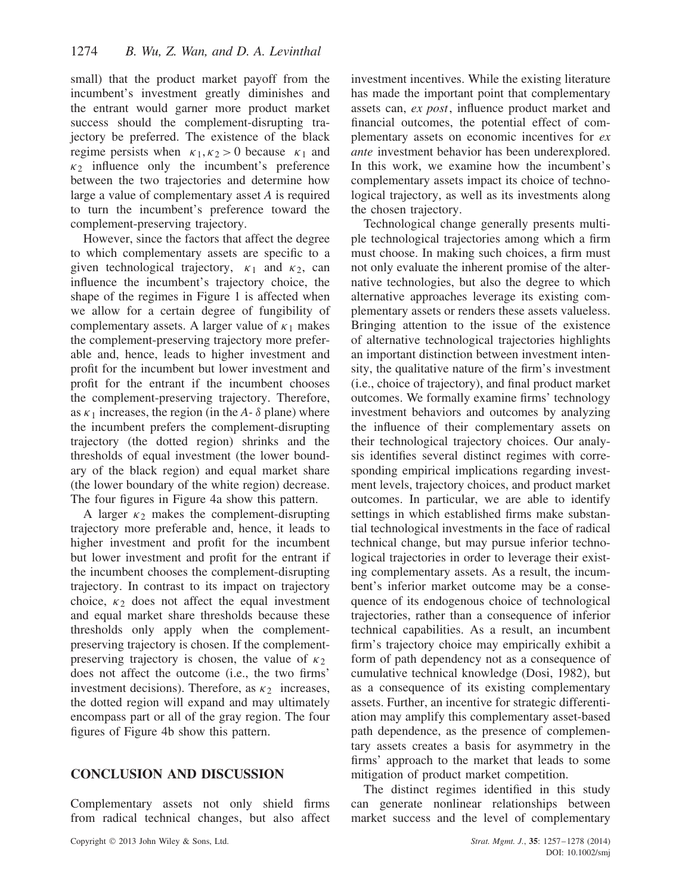small) that the product market payoff from the incumbent's investment greatly diminishes and the entrant would garner more product market success should the complement-disrupting trajectory be preferred. The existence of the black regime persists when  $\kappa_1, \kappa_2 > 0$  because  $\kappa_1$  and  $\kappa_2$  influence only the incumbent's preference between the two trajectories and determine how large a value of complementary asset *A* is required to turn the incumbent's preference toward the complement-preserving trajectory.

However, since the factors that affect the degree to which complementary assets are specific to a given technological trajectory, *κ*<sup>1</sup> and *κ*2, can influence the incumbent's trajectory choice, the shape of the regimes in Figure 1 is affected when we allow for a certain degree of fungibility of complementary assets. A larger value of  $\kappa_1$  makes the complement-preserving trajectory more preferable and, hence, leads to higher investment and profit for the incumbent but lower investment and profit for the entrant if the incumbent chooses the complement-preserving trajectory. Therefore, as  $\kappa_1$  increases, the region (in the *A*- $\delta$  plane) where the incumbent prefers the complement-disrupting trajectory (the dotted region) shrinks and the thresholds of equal investment (the lower boundary of the black region) and equal market share (the lower boundary of the white region) decrease. The four figures in Figure 4a show this pattern.

A larger  $\kappa_2$  makes the complement-disrupting trajectory more preferable and, hence, it leads to higher investment and profit for the incumbent but lower investment and profit for the entrant if the incumbent chooses the complement-disrupting trajectory. In contrast to its impact on trajectory choice,  $\kappa_2$  does not affect the equal investment and equal market share thresholds because these thresholds only apply when the complementpreserving trajectory is chosen. If the complementpreserving trajectory is chosen, the value of  $\kappa_2$ does not affect the outcome (i.e., the two firms' investment decisions). Therefore, as  $\kappa_2$  increases, the dotted region will expand and may ultimately encompass part or all of the gray region. The four figures of Figure 4b show this pattern.

# **CONCLUSION AND DISCUSSION**

Complementary assets not only shield firms from radical technical changes, but also affect investment incentives. While the existing literature has made the important point that complementary assets can, *ex post*, influence product market and financial outcomes, the potential effect of complementary assets on economic incentives for *ex ante* investment behavior has been underexplored. In this work, we examine how the incumbent's complementary assets impact its choice of technological trajectory, as well as its investments along the chosen trajectory.

Technological change generally presents multiple technological trajectories among which a firm must choose. In making such choices, a firm must not only evaluate the inherent promise of the alternative technologies, but also the degree to which alternative approaches leverage its existing complementary assets or renders these assets valueless. Bringing attention to the issue of the existence of alternative technological trajectories highlights an important distinction between investment intensity, the qualitative nature of the firm's investment (i.e., choice of trajectory), and final product market outcomes. We formally examine firms' technology investment behaviors and outcomes by analyzing the influence of their complementary assets on their technological trajectory choices. Our analysis identifies several distinct regimes with corresponding empirical implications regarding investment levels, trajectory choices, and product market outcomes. In particular, we are able to identify settings in which established firms make substantial technological investments in the face of radical technical change, but may pursue inferior technological trajectories in order to leverage their existing complementary assets. As a result, the incumbent's inferior market outcome may be a consequence of its endogenous choice of technological trajectories, rather than a consequence of inferior technical capabilities. As a result, an incumbent firm's trajectory choice may empirically exhibit a form of path dependency not as a consequence of cumulative technical knowledge (Dosi, 1982), but as a consequence of its existing complementary assets. Further, an incentive for strategic differentiation may amplify this complementary asset-based path dependence, as the presence of complementary assets creates a basis for asymmetry in the firms' approach to the market that leads to some mitigation of product market competition.

The distinct regimes identified in this study can generate nonlinear relationships between market success and the level of complementary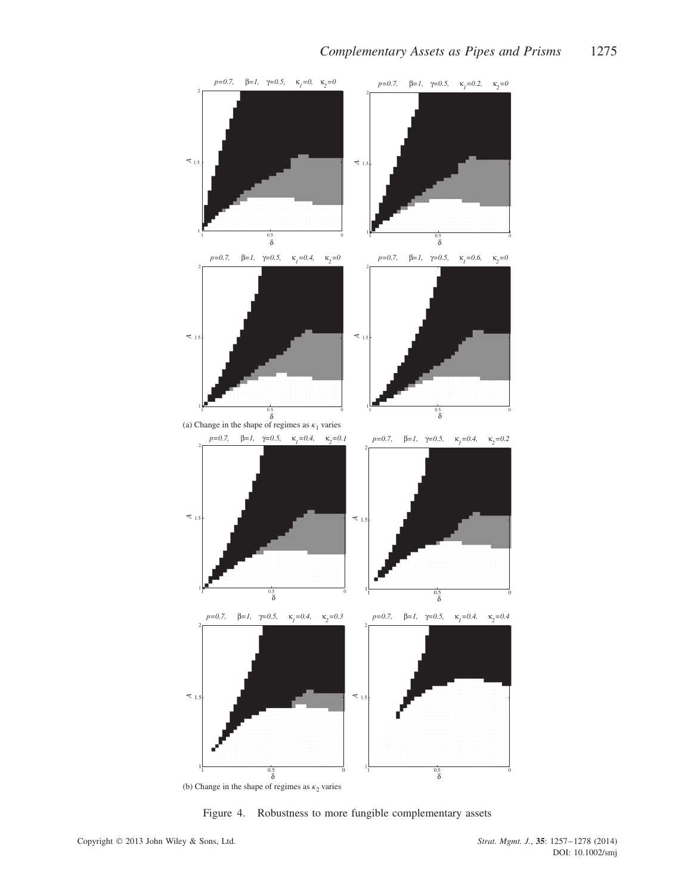

Figure 4. Robustness to more fungible complementary assets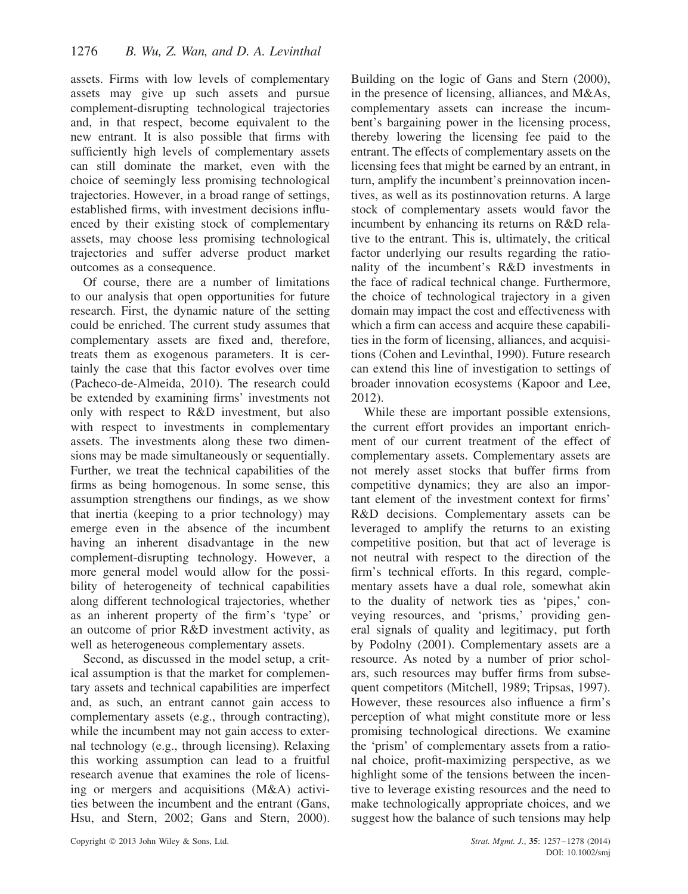assets. Firms with low levels of complementary assets may give up such assets and pursue complement-disrupting technological trajectories and, in that respect, become equivalent to the new entrant. It is also possible that firms with sufficiently high levels of complementary assets can still dominate the market, even with the choice of seemingly less promising technological trajectories. However, in a broad range of settings, established firms, with investment decisions influenced by their existing stock of complementary assets, may choose less promising technological trajectories and suffer adverse product market outcomes as a consequence.

Of course, there are a number of limitations to our analysis that open opportunities for future research. First, the dynamic nature of the setting could be enriched. The current study assumes that complementary assets are fixed and, therefore, treats them as exogenous parameters. It is certainly the case that this factor evolves over time (Pacheco-de-Almeida, 2010). The research could be extended by examining firms' investments not only with respect to R&D investment, but also with respect to investments in complementary assets. The investments along these two dimensions may be made simultaneously or sequentially. Further, we treat the technical capabilities of the firms as being homogenous. In some sense, this assumption strengthens our findings, as we show that inertia (keeping to a prior technology) may emerge even in the absence of the incumbent having an inherent disadvantage in the new complement-disrupting technology. However, a more general model would allow for the possibility of heterogeneity of technical capabilities along different technological trajectories, whether as an inherent property of the firm's 'type' or an outcome of prior R&D investment activity, as well as heterogeneous complementary assets.

Second, as discussed in the model setup, a critical assumption is that the market for complementary assets and technical capabilities are imperfect and, as such, an entrant cannot gain access to complementary assets (e.g., through contracting), while the incumbent may not gain access to external technology (e.g., through licensing). Relaxing this working assumption can lead to a fruitful research avenue that examines the role of licensing or mergers and acquisitions (M&A) activities between the incumbent and the entrant (Gans, Hsu, and Stern, 2002; Gans and Stern, 2000).

Building on the logic of Gans and Stern (2000), in the presence of licensing, alliances, and M&As, complementary assets can increase the incumbent's bargaining power in the licensing process, thereby lowering the licensing fee paid to the entrant. The effects of complementary assets on the licensing fees that might be earned by an entrant, in turn, amplify the incumbent's preinnovation incentives, as well as its postinnovation returns. A large stock of complementary assets would favor the incumbent by enhancing its returns on R&D relative to the entrant. This is, ultimately, the critical factor underlying our results regarding the rationality of the incumbent's R&D investments in the face of radical technical change. Furthermore, the choice of technological trajectory in a given domain may impact the cost and effectiveness with which a firm can access and acquire these capabilities in the form of licensing, alliances, and acquisitions (Cohen and Levinthal, 1990). Future research can extend this line of investigation to settings of broader innovation ecosystems (Kapoor and Lee, 2012).

While these are important possible extensions, the current effort provides an important enrichment of our current treatment of the effect of complementary assets. Complementary assets are not merely asset stocks that buffer firms from competitive dynamics; they are also an important element of the investment context for firms' R&D decisions. Complementary assets can be leveraged to amplify the returns to an existing competitive position, but that act of leverage is not neutral with respect to the direction of the firm's technical efforts. In this regard, complementary assets have a dual role, somewhat akin to the duality of network ties as 'pipes,' conveying resources, and 'prisms,' providing general signals of quality and legitimacy, put forth by Podolny (2001). Complementary assets are a resource. As noted by a number of prior scholars, such resources may buffer firms from subsequent competitors (Mitchell, 1989; Tripsas, 1997). However, these resources also influence a firm's perception of what might constitute more or less promising technological directions. We examine the 'prism' of complementary assets from a rational choice, profit-maximizing perspective, as we highlight some of the tensions between the incentive to leverage existing resources and the need to make technologically appropriate choices, and we suggest how the balance of such tensions may help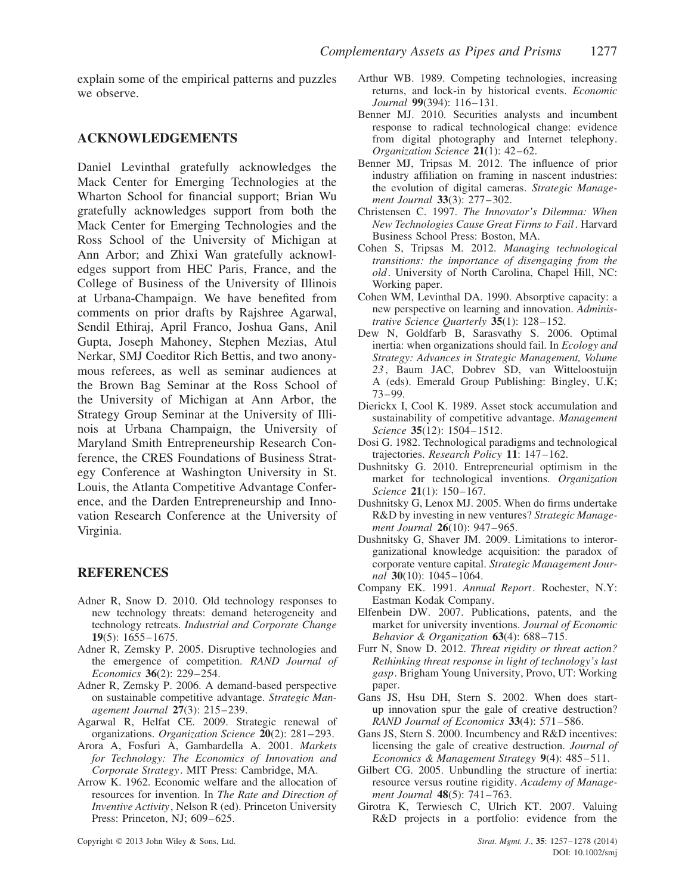explain some of the empirical patterns and puzzles we observe.

# **ACKNOWLEDGEMENTS**

Daniel Levinthal gratefully acknowledges the Mack Center for Emerging Technologies at the Wharton School for financial support; Brian Wu gratefully acknowledges support from both the Mack Center for Emerging Technologies and the Ross School of the University of Michigan at Ann Arbor; and Zhixi Wan gratefully acknowledges support from HEC Paris, France, and the College of Business of the University of Illinois at Urbana-Champaign. We have benefited from comments on prior drafts by Rajshree Agarwal, Sendil Ethiraj, April Franco, Joshua Gans, Anil Gupta, Joseph Mahoney, Stephen Mezias, Atul Nerkar, SMJ Coeditor Rich Bettis, and two anonymous referees, as well as seminar audiences at the Brown Bag Seminar at the Ross School of the University of Michigan at Ann Arbor, the Strategy Group Seminar at the University of Illinois at Urbana Champaign, the University of Maryland Smith Entrepreneurship Research Conference, the CRES Foundations of Business Strategy Conference at Washington University in St. Louis, the Atlanta Competitive Advantage Conference, and the Darden Entrepreneurship and Innovation Research Conference at the University of Virginia.

#### **REFERENCES**

- Adner R, Snow D. 2010. Old technology responses to new technology threats: demand heterogeneity and technology retreats. *Industrial and Corporate Change* **19**(5): 1655–1675.
- Adner R, Zemsky P. 2005. Disruptive technologies and the emergence of competition. *RAND Journal of Economics* **36**(2): 229–254.
- Adner R, Zemsky P. 2006. A demand-based perspective on sustainable competitive advantage. *Strategic Management Journal* **27**(3): 215–239.
- Agarwal R, Helfat CE. 2009. Strategic renewal of organizations. *Organization Science* **20**(2): 281–293.
- Arora A, Fosfuri A, Gambardella A. 2001. *Markets for Technology: The Economics of Innovation and Corporate Strategy*. MIT Press: Cambridge, MA.
- Arrow K. 1962. Economic welfare and the allocation of resources for invention. In *The Rate and Direction of Inventive Activity*, Nelson R (ed). Princeton University Press: Princeton, NJ: 609–625.
- Arthur WB. 1989. Competing technologies, increasing returns, and lock-in by historical events. *Economic Journal* **99**(394): 116–131.
- Benner MJ. 2010. Securities analysts and incumbent response to radical technological change: evidence from digital photography and Internet telephony. *Organization Science* **21**(1): 42–62.
- Benner MJ, Tripsas M. 2012. The influence of prior industry affiliation on framing in nascent industries: the evolution of digital cameras. *Strategic Management Journal* **33**(3): 277–302.
- Christensen C. 1997. *The Innovator's Dilemma: When New Technologies Cause Great Firms to Fail*. Harvard Business School Press: Boston, MA.
- Cohen S, Tripsas M. 2012. *Managing technological transitions: the importance of disengaging from the old*. University of North Carolina, Chapel Hill, NC: Working paper.
- Cohen WM, Levinthal DA. 1990. Absorptive capacity: a new perspective on learning and innovation. *Administrative Science Quarterly* **35**(1): 128–152.
- Dew N, Goldfarb B, Sarasvathy S. 2006. Optimal inertia: when organizations should fail. In *Ecology and Strategy: Advances in Strategic Management, Volume 23* , Baum JAC, Dobrev SD, van Witteloostuijn A (eds). Emerald Group Publishing: Bingley, U.K; 73–99.
- Dierickx I, Cool K. 1989. Asset stock accumulation and sustainability of competitive advantage. *Management Science* **35**(12): 1504–1512.
- Dosi G. 1982. Technological paradigms and technological trajectories. *Research Policy* **11**: 147–162.
- Dushnitsky G. 2010. Entrepreneurial optimism in the market for technological inventions. *Organization Science* **21**(1): 150–167.
- Dushnitsky G, Lenox MJ. 2005. When do firms undertake R&D by investing in new ventures? *Strategic Management Journal* **26**(10): 947–965.
- Dushnitsky G, Shaver JM. 2009. Limitations to interorganizational knowledge acquisition: the paradox of corporate venture capital. *Strategic Management Journal* **30**(10): 1045–1064.
- Company EK. 1991. *Annual Report*. Rochester, N.Y: Eastman Kodak Company.
- Elfenbein DW. 2007. Publications, patents, and the market for university inventions. *Journal of Economic Behavior & Organization* **63**(4): 688–715.
- Furr N, Snow D. 2012. *Threat rigidity or threat action? Rethinking threat response in light of technology's last gasp*. Brigham Young University, Provo, UT: Working paper.
- Gans JS, Hsu DH, Stern S. 2002. When does startup innovation spur the gale of creative destruction? *RAND Journal of Economics* **33**(4): 571–586.
- Gans JS, Stern S. 2000. Incumbency and R&D incentives: licensing the gale of creative destruction. *Journal of Economics & Management Strategy* **9**(4): 485–511.
- Gilbert CG. 2005. Unbundling the structure of inertia: resource versus routine rigidity. *Academy of Management Journal* **48**(5): 741–763.
- Girotra K, Terwiesch C, Ulrich KT. 2007. Valuing R&D projects in a portfolio: evidence from the